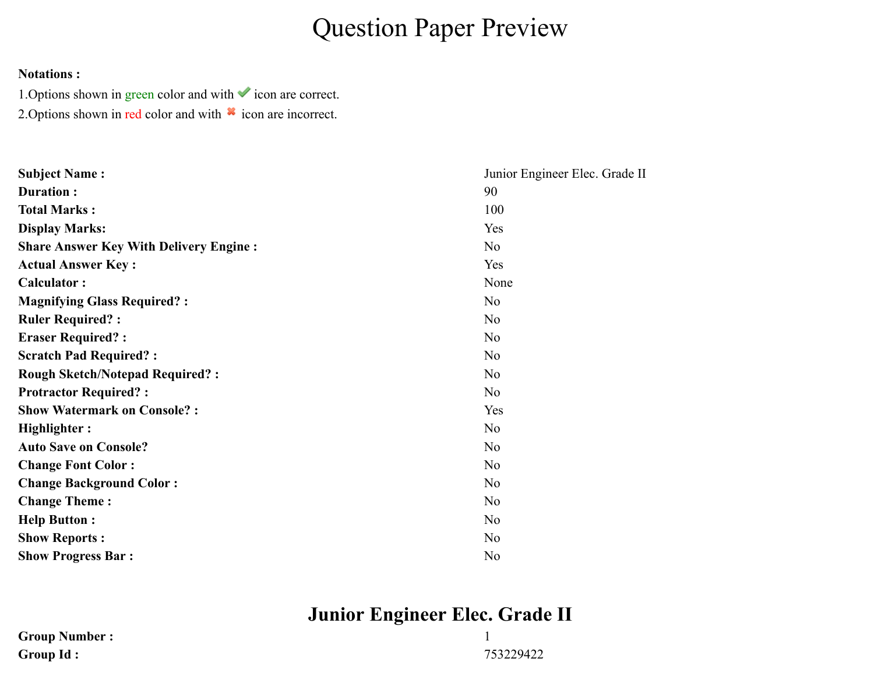# Question Paper Preview

#### **Notations :**

1. Options shown in green color and with  $\checkmark$  icon are correct. 2. Options shown in red color and with  $*$  icon are incorrect.

| <b>Subject Name:</b>                          | Junior Engineer Elec. Grade II |
|-----------------------------------------------|--------------------------------|
| Duration:                                     | 90                             |
| <b>Total Marks:</b>                           | 100                            |
| <b>Display Marks:</b>                         | Yes                            |
| <b>Share Answer Key With Delivery Engine:</b> | N <sub>o</sub>                 |
| <b>Actual Answer Key:</b>                     | Yes                            |
| <b>Calculator:</b>                            | None                           |
| <b>Magnifying Glass Required?:</b>            | No                             |
| <b>Ruler Required?:</b>                       | No                             |
| <b>Eraser Required?:</b>                      | No                             |
| <b>Scratch Pad Required?:</b>                 | No                             |
| <b>Rough Sketch/Notepad Required?:</b>        | N <sub>o</sub>                 |
| <b>Protractor Required?:</b>                  | No                             |
| <b>Show Watermark on Console?:</b>            | Yes                            |
| Highlighter:                                  | No                             |
| <b>Auto Save on Console?</b>                  | N <sub>o</sub>                 |
| <b>Change Font Color:</b>                     | No                             |
| <b>Change Background Color:</b>               | N <sub>o</sub>                 |
| <b>Change Theme:</b>                          | N <sub>o</sub>                 |
| <b>Help Button:</b>                           | N <sub>o</sub>                 |
| <b>Show Reports:</b>                          | N <sub>o</sub>                 |
| <b>Show Progress Bar:</b>                     | N <sub>o</sub>                 |

## **Junior Engineer Elec. Grade II**

| <b>Group Number:</b> |           |
|----------------------|-----------|
| <b>Group Id:</b>     | 753229422 |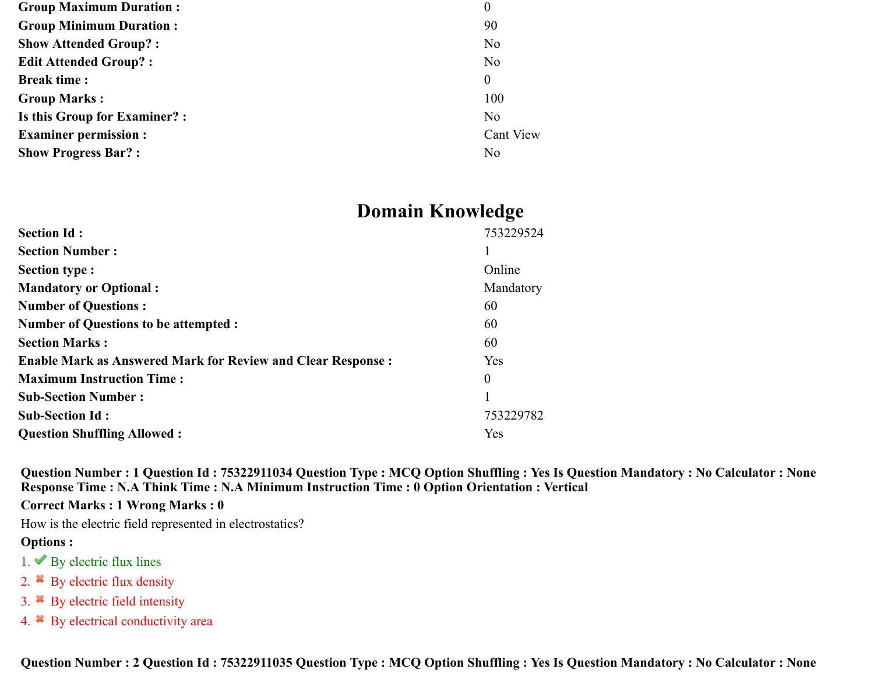| $\boldsymbol{0}$ |
|------------------|
| 90               |
| N <sub>o</sub>   |
| No               |
| $\theta$         |
| 100              |
| N <sub>o</sub>   |
| Cant View        |
| No               |
|                  |

## **Domain Knowledge**

| <b>Section Id:</b>                                                 | 753229524      |
|--------------------------------------------------------------------|----------------|
| <b>Section Number:</b>                                             |                |
| <b>Section type:</b>                                               | Online         |
| <b>Mandatory or Optional:</b>                                      | Mandatory      |
| <b>Number of Questions:</b>                                        | 60             |
| <b>Number of Questions to be attempted :</b>                       | 60             |
| <b>Section Marks:</b>                                              | 60             |
| <b>Enable Mark as Answered Mark for Review and Clear Response:</b> | Yes            |
| <b>Maximum Instruction Time:</b>                                   | $\overline{0}$ |
| <b>Sub-Section Number:</b>                                         |                |
| <b>Sub-Section Id:</b>                                             | 753229782      |
| <b>Question Shuffling Allowed:</b>                                 | Yes            |

**Question Number : 1 Question Id : 75322911034 Question Type : MCQ Option Shuffling : Yes Is Question Mandatory : No Calculator : None Response Time : N.A Think Time : N.A Minimum Instruction Time : 0 Option Orientation : Vertical**

**Correct Marks : 1 Wrong Marks : 0**

How is the electric field represented in electrostatics?

#### **Options :**

- 1.  $\blacktriangleright$  By electric flux lines
- 2.  $*$  By electric flux density
- 3. By electric field intensity
- 4. By electrical conductivity area

**Question Number : 2 Question Id : 75322911035 Question Type : MCQ Option Shuffling : Yes Is Question Mandatory : No Calculator : None**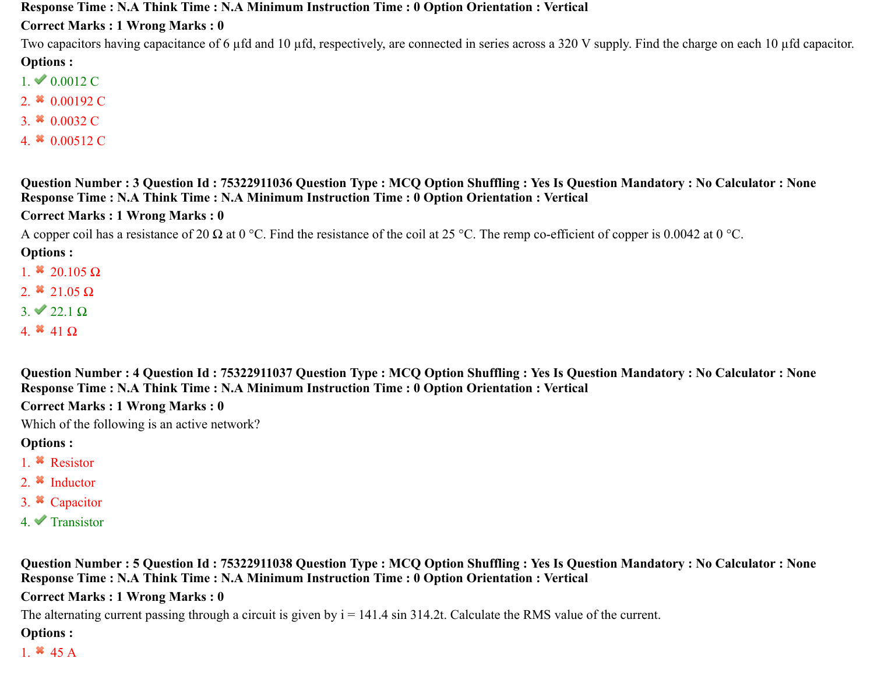**Response Time : N.A Think Time : N.A Minimum Instruction Time : 0 Option Orientation : Vertical**

**Correct Marks : 1 Wrong Marks : 0**

Two capacitors having capacitance of 6 µfd and 10 µfd, respectively, are connected in series across a 320 V supply. Find the charge on each 10 µfd capacitor. **Options :**

- $1. \vee 0.0012 \text{ C}$
- 2.  $*$  0.00192 C
- 3.  $*$  0.0032 C
- 4.  $*$  0.00512 C

**Question Number : 3 Question Id : 75322911036 Question Type : MCQ Option Shuffling : Yes Is Question Mandatory : No Calculator : None Response Time : N.A Think Time : N.A Minimum Instruction Time : 0 Option Orientation : Vertical**

**Correct Marks : 1 Wrong Marks : 0**

A copper coil has a resistance of 20  $\Omega$  at 0 °C. Find the resistance of the coil at 25 °C. The remp co-efficient of copper is 0.0042 at 0 °C.

**Options :**

- 1.  $*$  20.105 Ω
- 2.  $*$  21.05  $\Omega$
- $3. \vee 22.1 \Omega$
- 4.  $*$  41  $\Omega$

**Question Number : 4 Question Id : 75322911037 Question Type : MCQ Option Shuffling : Yes Is Question Mandatory : No Calculator : None Response Time : N.A Think Time : N.A Minimum Instruction Time : 0 Option Orientation : Vertical**

**Correct Marks : 1 Wrong Marks : 0**

Which of the following is an active network?

#### **Options :**

- 1. Resistor
- 2.  $\ast$  Inductor
- 3. Capacitor
- $4.$  Transistor

**Question Number : 5 Question Id : 75322911038 Question Type : MCQ Option Shuffling : Yes Is Question Mandatory : No Calculator : None Response Time : N.A Think Time : N.A Minimum Instruction Time : 0 Option Orientation : Vertical**

**Correct Marks : 1 Wrong Marks : 0**

The alternating current passing through a circuit is given by  $i = 141.4 \sin 314.2t$ . Calculate the RMS value of the current.

#### **Options :**

1.  $*$  45 A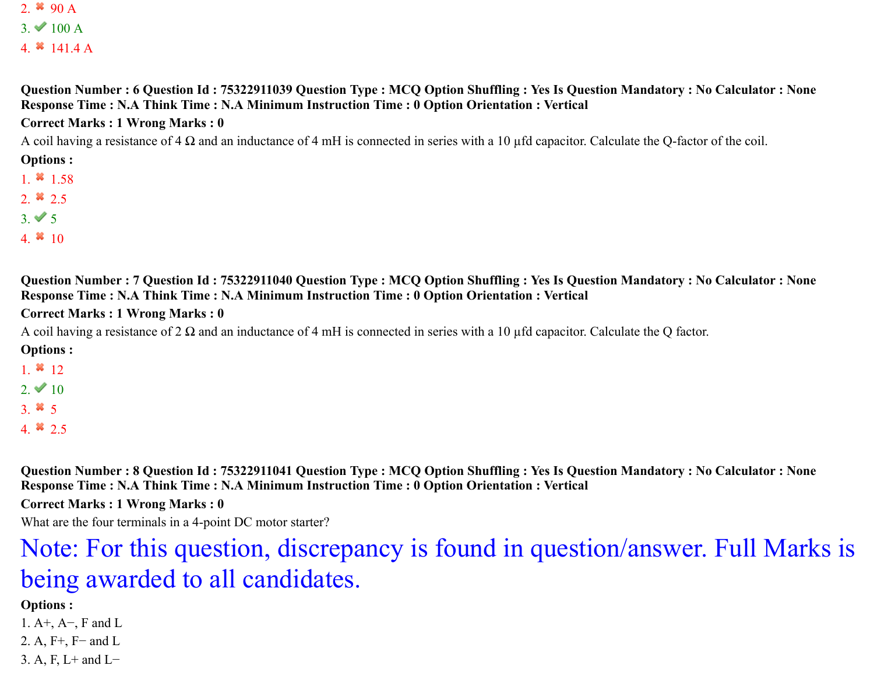2.  $*$  90 A  $3. \vee 100 \text{ A}$ 

4.  $*$  141.4 A

**Question Number : 6 Question Id : 75322911039 Question Type : MCQ Option Shuffling : Yes Is Question Mandatory : No Calculator : None Response Time : N.A Think Time : N.A Minimum Instruction Time : 0 Option Orientation : Vertical**

#### **Correct Marks : 1 Wrong Marks : 0**

A coil having a resistance of 4  $\Omega$  and an inductance of 4 mH is connected in series with a 10 µfd capacitor. Calculate the Q-factor of the coil.

**Options :**

- 1.  $*1.58$
- 2.  $*$  2.5
- $3. \vee 5$
- 4.  $* 10$

**Question Number : 7 Question Id : 75322911040 Question Type : MCQ Option Shuffling : Yes Is Question Mandatory : No Calculator : None Response Time : N.A Think Time : N.A Minimum Instruction Time : 0 Option Orientation : Vertical**

#### **Correct Marks : 1 Wrong Marks : 0**

A coil having a resistance of 2  $\Omega$  and an inductance of 4 mH is connected in series with a 10 µfd capacitor. Calculate the Q factor.

**Options :**

- 1.  $*12$
- 2.  $\vee$  10
- 3.  $*$  5
- 4.  $*$  2.5

**Question Number : 8 Question Id : 75322911041 Question Type : MCQ Option Shuffling : Yes Is Question Mandatory : No Calculator : None Response Time : N.A Think Time : N.A Minimum Instruction Time : 0 Option Orientation : Vertical**

**Correct Marks : 1 Wrong Marks : 0**

What are the four terminals in a 4-point DC motor starter?

# Note: For this question, discrepancy is found in question/answer. Full Marks is being awarded to all candidates.

#### **Options :**

1. A+, A−, F and L

- 2. A, F<sup>+</sup>, F<sup>−</sup> and L
- 3. A, F, L+ and L−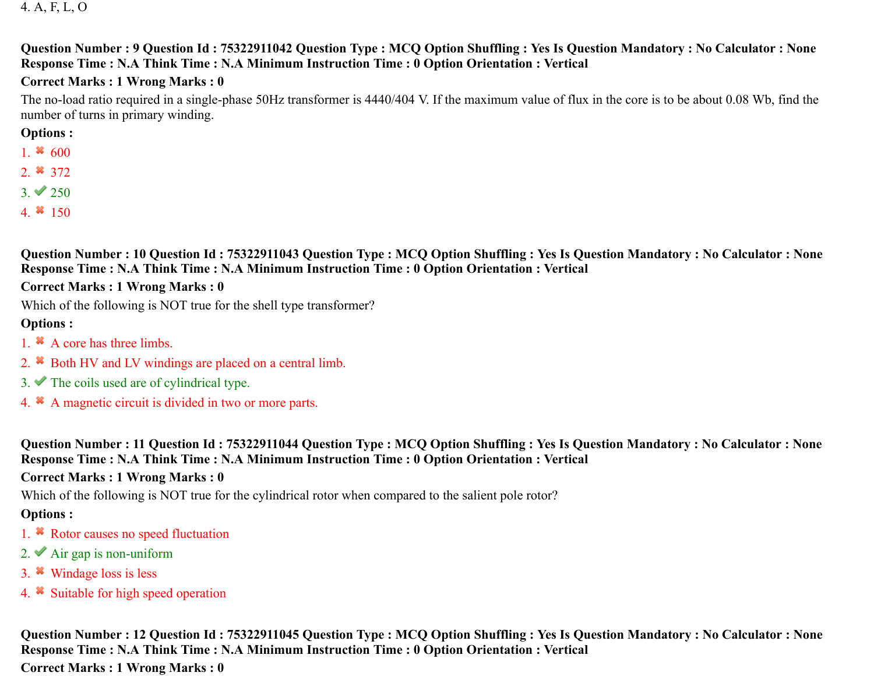4. A, F, L, O

#### **Question Number : 9 Question Id : 75322911042 Question Type : MCQ Option Shuffling : Yes Is Question Mandatory : No Calculator : None Response Time : N.A Think Time : N.A Minimum Instruction Time : 0 Option Orientation : Vertical**

#### **Correct Marks : 1 Wrong Marks : 0**

The no-load ratio required in a single-phase 50Hz transformer is 4440/404 V. If the maximum value of flux in the core is to be about 0.08 Wb, find the number of turns in primary winding.

#### **Options :**

- 1.  $*600$
- 2.  $*372$
- $3. \vee 250$
- 4.  $*150$

**Question Number : 10 Question Id : 75322911043 Question Type : MCQ Option Shuffling : Yes Is Question Mandatory : No Calculator : None Response Time : N.A Think Time : N.A Minimum Instruction Time : 0 Option Orientation : Vertical**

#### **Correct Marks : 1 Wrong Marks : 0**

Which of the following is NOT true for the shell type transformer?

#### **Options :**

- 1. <sup>\*</sup> A core has three limbs.
- 2. <sup>\*</sup> Both HV and LV windings are placed on a central limb.
- $3.$  The coils used are of cylindrical type.
- 4. A magnetic circuit is divided in two or more parts.

**Question Number : 11 Question Id : 75322911044 Question Type : MCQ Option Shuffling : Yes Is Question Mandatory : No Calculator : None Response Time : N.A Think Time : N.A Minimum Instruction Time : 0 Option Orientation : Vertical**

#### **Correct Marks : 1 Wrong Marks : 0**

Which of the following is NOT true for the cylindrical rotor when compared to the salient pole rotor?

## **Options :**

- 1. <sup>\*</sup> Rotor causes no speed fluctuation
- 2.  $\blacktriangleright$  Air gap is non-uniform
- 3. Windage loss is less
- 4. Suitable for high speed operation

**Question Number : 12 Question Id : 75322911045 Question Type : MCQ Option Shuffling : Yes Is Question Mandatory : No Calculator : None Response Time : N.A Think Time : N.A Minimum Instruction Time : 0 Option Orientation : Vertical**

**Correct Marks : 1 Wrong Marks : 0**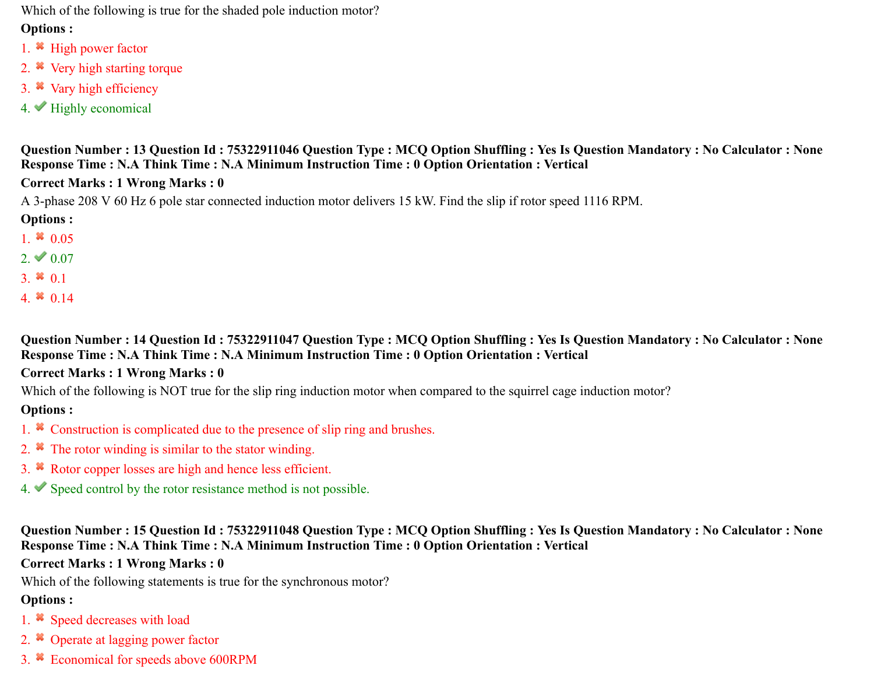Which of the following is true for the shaded pole induction motor?

#### **Options :**

- 1. <sup>\*</sup> High power factor
- 2. <sup>\*</sup> Very high starting torque
- 3. Vary high efficiency
- $4.$  Highly economical

**Question Number : 13 Question Id : 75322911046 Question Type : MCQ Option Shuffling : Yes Is Question Mandatory : No Calculator : None Response Time : N.A Think Time : N.A Minimum Instruction Time : 0 Option Orientation : Vertical**

#### **Correct Marks : 1 Wrong Marks : 0**

A 3-phase 208 V 60 Hz 6 pole star connected induction motor delivers 15 kW. Find the slip if rotor speed 1116 RPM.

## **Options :**

- 1.  $*$  0.05
- $2. \vee 0.07$
- 3.  $*$  0.1
- 4.  $*$  0.14

**Question Number : 14 Question Id : 75322911047 Question Type : MCQ Option Shuffling : Yes Is Question Mandatory : No Calculator : None Response Time : N.A Think Time : N.A Minimum Instruction Time : 0 Option Orientation : Vertical**

#### **Correct Marks : 1 Wrong Marks : 0**

Which of the following is NOT true for the slip ring induction motor when compared to the squirrel cage induction motor?

## **Options :**

- 1. <sup>\*</sup> Construction is complicated due to the presence of slip ring and brushes.
- 2.  $*$  The rotor winding is similar to the stator winding.
- 3. Rotor copper losses are high and hence less efficient.
- $4.$  Speed control by the rotor resistance method is not possible.

**Question Number : 15 Question Id : 75322911048 Question Type : MCQ Option Shuffling : Yes Is Question Mandatory : No Calculator : None Response Time : N.A Think Time : N.A Minimum Instruction Time : 0 Option Orientation : Vertical**

## **Correct Marks : 1 Wrong Marks : 0**

Which of the following statements is true for the synchronous motor?

- 1. <sup>\*</sup> Speed decreases with load
- 2.  $\ast$  Operate at lagging power factor
- 3. Economical for speeds above 600RPM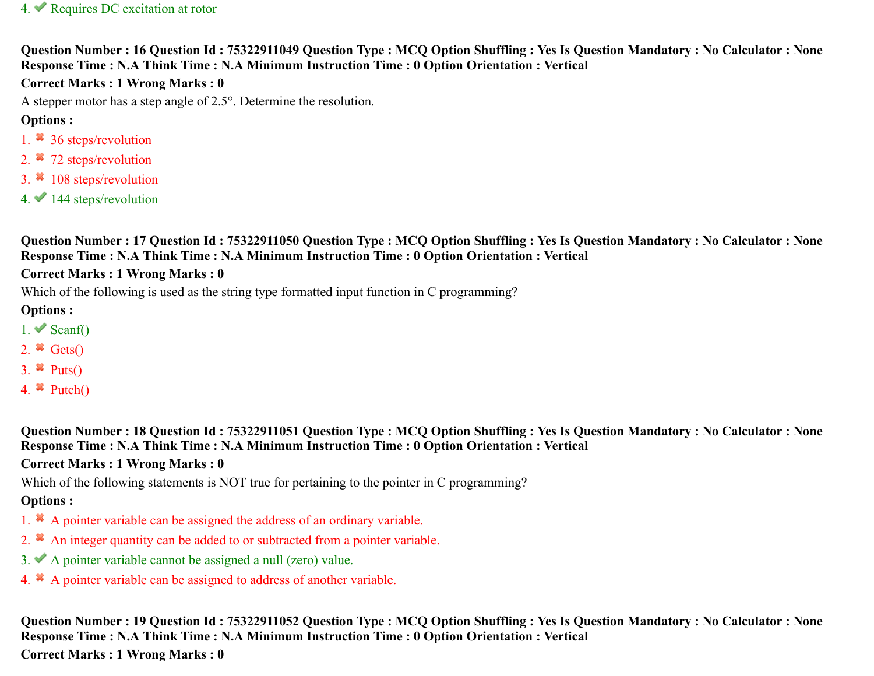#### 4. Requires DC excitation at rotor

**Question Number : 16 Question Id : 75322911049 Question Type : MCQ Option Shuffling : Yes Is Question Mandatory : No Calculator : None Response Time : N.A Think Time : N.A Minimum Instruction Time : 0 Option Orientation : Vertical**

#### **Correct Marks : 1 Wrong Marks : 0**

A stepper motor has a step angle of 2.5°. Determine the resolution.

#### **Options :**

- 1. <sup>36</sup> 36 steps/revolution
- 2. <sup>\*</sup> 72 steps/revolution
- 3. <sup>\*</sup> 108 steps/revolution
- $4.$  144 steps/revolution

**Question Number : 17 Question Id : 75322911050 Question Type : MCQ Option Shuffling : Yes Is Question Mandatory : No Calculator : None Response Time : N.A Think Time : N.A Minimum Instruction Time : 0 Option Orientation : Vertical**

#### **Correct Marks : 1 Wrong Marks : 0**

Which of the following is used as the string type formatted input function in C programming?

#### **Options :**

- $1.$  Scanf()
- 2.  $\star$  Gets()
- 3.  $\ast$  Puts()
- 4.  $\bullet$  Putch()

**Question Number : 18 Question Id : 75322911051 Question Type : MCQ Option Shuffling : Yes Is Question Mandatory : No Calculator : None Response Time : N.A Think Time : N.A Minimum Instruction Time : 0 Option Orientation : Vertical**

#### **Correct Marks : 1 Wrong Marks : 0**

Which of the following statements is NOT true for pertaining to the pointer in C programming?

## **Options :**

- 1. A pointer variable can be assigned the address of an ordinary variable.
- 2. <sup>\*</sup> An integer quantity can be added to or subtracted from a pointer variable.
- 3. A pointer variable cannot be assigned a null (zero) value.
- 4. A pointer variable can be assigned to address of another variable.

**Question Number : 19 Question Id : 75322911052 Question Type : MCQ Option Shuffling : Yes Is Question Mandatory : No Calculator : None Response Time : N.A Think Time : N.A Minimum Instruction Time : 0 Option Orientation : Vertical Correct Marks : 1 Wrong Marks : 0**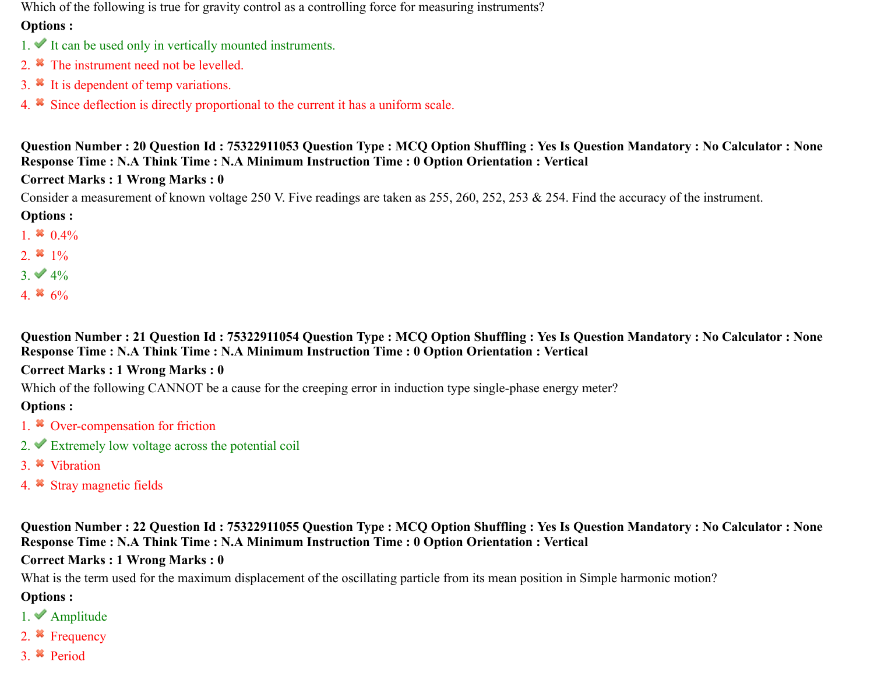Which of the following is true for gravity control as a controlling force for measuring instruments?

#### **Options :**

- $1.$  It can be used only in vertically mounted instruments.
- 2. <sup>\*</sup> The instrument need not be levelled.
- 3. <sup>\*</sup> It is dependent of temp variations.
- 4. Since deflection is directly proportional to the current it has a uniform scale.

#### **Question Number : 20 Question Id : 75322911053 Question Type : MCQ Option Shuffling : Yes Is Question Mandatory : No Calculator : None Response Time : N.A Think Time : N.A Minimum Instruction Time : 0 Option Orientation : Vertical**

## **Correct Marks : 1 Wrong Marks : 0**

Consider a measurement of known voltage 250 V. Five readings are taken as 255, 260, 252, 253 & 254. Find the accuracy of the instrument.

## **Options :**

- 1. 0.4%
- 2.  $*1\%$
- $3. \vee 4\%$
- 4.  $*$  6%

#### **Question Number : 21 Question Id : 75322911054 Question Type : MCQ Option Shuffling : Yes Is Question Mandatory : No Calculator : None Response Time : N.A Think Time : N.A Minimum Instruction Time : 0 Option Orientation : Vertical**

## **Correct Marks : 1 Wrong Marks : 0**

Which of the following CANNOT be a cause for the creeping error in induction type single-phase energy meter?

## **Options :**

- 1. <sup>\*</sup> Over-compensation for friction
- 2.  $\blacktriangleright$  Extremely low voltage across the potential coil
- 3. Vibration
- 4. Stray magnetic fields

#### **Question Number : 22 Question Id : 75322911055 Question Type : MCQ Option Shuffling : Yes Is Question Mandatory : No Calculator : None Response Time : N.A Think Time : N.A Minimum Instruction Time : 0 Option Orientation : Vertical**

## **Correct Marks : 1 Wrong Marks : 0**

What is the term used for the maximum displacement of the oscillating particle from its mean position in Simple harmonic motion?

- 1. Amplitude
- 2. Frequency
- 3. Period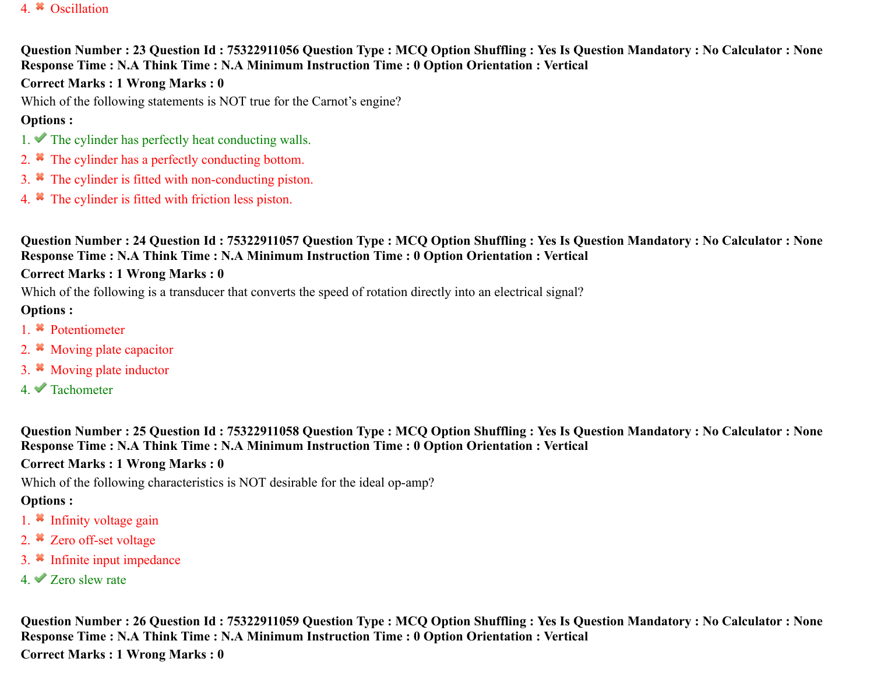#### 4. **\*** Oscillation

#### **Question Number : 23 Question Id : 75322911056 Question Type : MCQ Option Shuffling : Yes Is Question Mandatory : No Calculator : None Response Time : N.A Think Time : N.A Minimum Instruction Time : 0 Option Orientation : Vertical**

#### **Correct Marks : 1 Wrong Marks : 0**

Which of the following statements is NOT true for the Carnot's engine?

#### **Options :**

- 1.  $\blacktriangleright$  The cylinder has perfectly heat conducting walls.
- 2. <sup>\*</sup> The cylinder has a perfectly conducting bottom.
- 3. The cylinder is fitted with non-conducting piston.
- 4. The cylinder is fitted with friction less piston.

**Question Number : 24 Question Id : 75322911057 Question Type : MCQ Option Shuffling : Yes Is Question Mandatory : No Calculator : None Response Time : N.A Think Time : N.A Minimum Instruction Time : 0 Option Orientation : Vertical**

#### **Correct Marks : 1 Wrong Marks : 0**

Which of the following is a transducer that converts the speed of rotation directly into an electrical signal?

#### **Options :**

- 1. Potentiometer
- 2. <sup>\*</sup> Moving plate capacitor
- 3. Moving plate inductor
- 4. Tachometer

**Question Number : 25 Question Id : 75322911058 Question Type : MCQ Option Shuffling : Yes Is Question Mandatory : No Calculator : None Response Time : N.A Think Time : N.A Minimum Instruction Time : 0 Option Orientation : Vertical**

#### **Correct Marks : 1 Wrong Marks : 0**

Which of the following characteristics is NOT desirable for the ideal op-amp?

#### **Options :**

- 1.  $\ast$  Infinity voltage gain
- 2. <sup>\*</sup> Zero off-set voltage
- 3. Infinite input impedance
- 4. Zero slew rate

**Question Number : 26 Question Id : 75322911059 Question Type : MCQ Option Shuffling : Yes Is Question Mandatory : No Calculator : None Response Time : N.A Think Time : N.A Minimum Instruction Time : 0 Option Orientation : Vertical Correct Marks : 1 Wrong Marks : 0**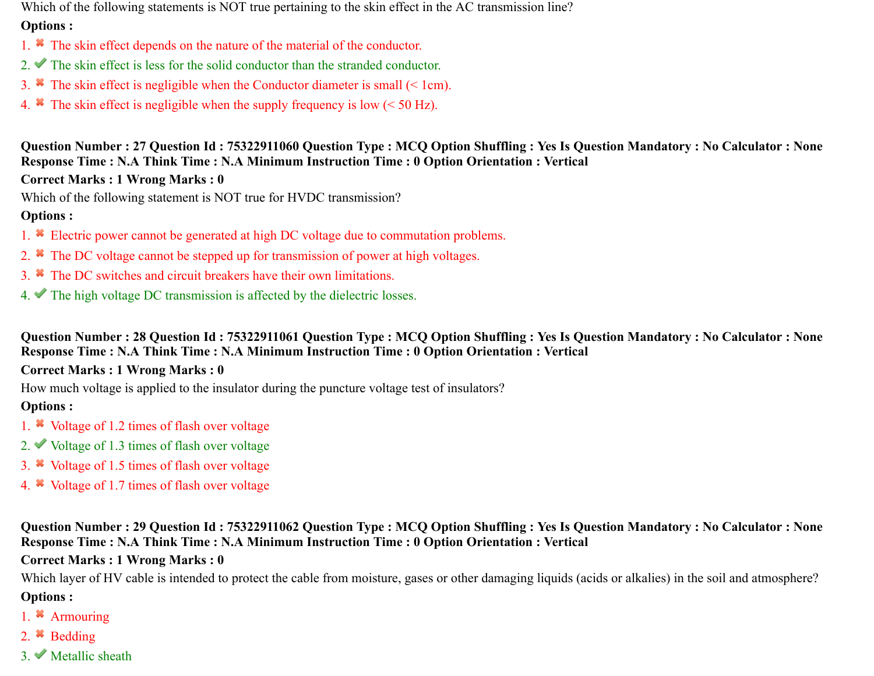Which of the following statements is NOT true pertaining to the skin effect in the AC transmission line?

#### **Options :**

- 1. The skin effect depends on the nature of the material of the conductor.
- 2. The skin effect is less for the solid conductor than the stranded conductor.
- 3.  $\bullet$  The skin effect is negligible when the Conductor diameter is small (< 1cm).
- 4. The skin effect is negligible when the supply frequency is low  $(< 50$  Hz).

**Question Number : 27 Question Id : 75322911060 Question Type : MCQ Option Shuffling : Yes Is Question Mandatory : No Calculator : None Response Time : N.A Think Time : N.A Minimum Instruction Time : 0 Option Orientation : Vertical**

## **Correct Marks : 1 Wrong Marks : 0**

Which of the following statement is NOT true for HVDC transmission?

## **Options :**

- 1. Electric power cannot be generated at high DC voltage due to commutation problems.
- 2. <sup>\*</sup> The DC voltage cannot be stepped up for transmission of power at high voltages.
- 3. The DC switches and circuit breakers have their own limitations.
- 4. The high voltage DC transmission is affected by the dielectric losses.

**Question Number : 28 Question Id : 75322911061 Question Type : MCQ Option Shuffling : Yes Is Question Mandatory : No Calculator : None Response Time : N.A Think Time : N.A Minimum Instruction Time : 0 Option Orientation : Vertical**

## **Correct Marks : 1 Wrong Marks : 0**

How much voltage is applied to the insulator during the puncture voltage test of insulators?

## **Options :**

- 1. Woltage of 1.2 times of flash over voltage
- 2. Voltage of 1.3 times of flash over voltage
- 3. Voltage of 1.5 times of flash over voltage
- 4. Woltage of 1.7 times of flash over voltage

#### **Question Number : 29 Question Id : 75322911062 Question Type : MCQ Option Shuffling : Yes Is Question Mandatory : No Calculator : None Response Time : N.A Think Time : N.A Minimum Instruction Time : 0 Option Orientation : Vertical**

## **Correct Marks : 1 Wrong Marks : 0**

Which layer of HV cable is intended to protect the cable from moisture, gases or other damaging liquids (acids or alkalies) in the soil and atmosphere? **Options :**

- 1. <sup>\*</sup> Armouring
- 2. **Bedding**
- $3.$  Metallic sheath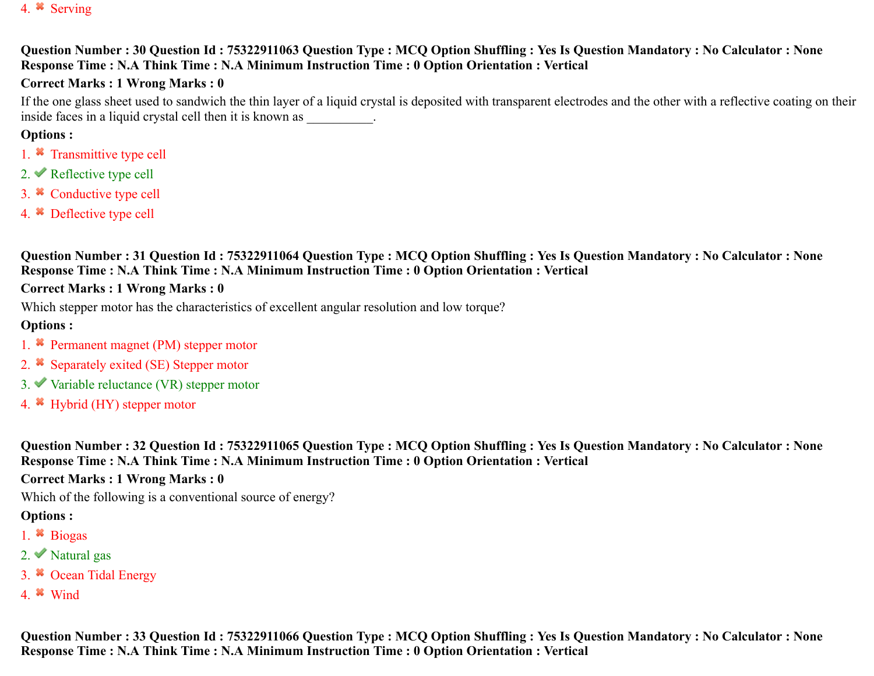#### 4. Serving

#### **Question Number : 30 Question Id : 75322911063 Question Type : MCQ Option Shuffling : Yes Is Question Mandatory : No Calculator : None Response Time : N.A Think Time : N.A Minimum Instruction Time : 0 Option Orientation : Vertical**

#### **Correct Marks : 1 Wrong Marks : 0**

If the one glass sheet used to sandwich the thin layer of a liquid crystal is deposited with transparent electrodes and the other with a reflective coating on their inside faces in a liquid crystal cell then it is known as  $\qquad \qquad$ .

#### **Options :**

- 1. <sup>\*</sup> Transmittive type cell
- 2.  $\blacktriangleright$  Reflective type cell
- 3. <sup>\*</sup> Conductive type cell
- 4. Deflective type cell

**Question Number : 31 Question Id : 75322911064 Question Type : MCQ Option Shuffling : Yes Is Question Mandatory : No Calculator : None Response Time : N.A Think Time : N.A Minimum Instruction Time : 0 Option Orientation : Vertical**

#### **Correct Marks : 1 Wrong Marks : 0**

Which stepper motor has the characteristics of excellent angular resolution and low torque?

#### **Options :**

- 1. **\*** Permanent magnet (PM) stepper motor
- 2. <sup>\*</sup> Separately exited (SE) Stepper motor
- $3.$  Variable reluctance (VR) stepper motor
- 4. Hybrid (HY) stepper motor

**Question Number : 32 Question Id : 75322911065 Question Type : MCQ Option Shuffling : Yes Is Question Mandatory : No Calculator : None Response Time : N.A Think Time : N.A Minimum Instruction Time : 0 Option Orientation : Vertical**

#### **Correct Marks : 1 Wrong Marks : 0**

Which of the following is a conventional source of energy?

#### **Options :**

- 1. Biogas
- 2.  $\blacktriangleright$  Natural gas
- 3. <sup>\*</sup> Ocean Tidal Energy
- 4. Wind

**Question Number : 33 Question Id : 75322911066 Question Type : MCQ Option Shuffling : Yes Is Question Mandatory : No Calculator : None Response Time : N.A Think Time : N.A Minimum Instruction Time : 0 Option Orientation : Vertical**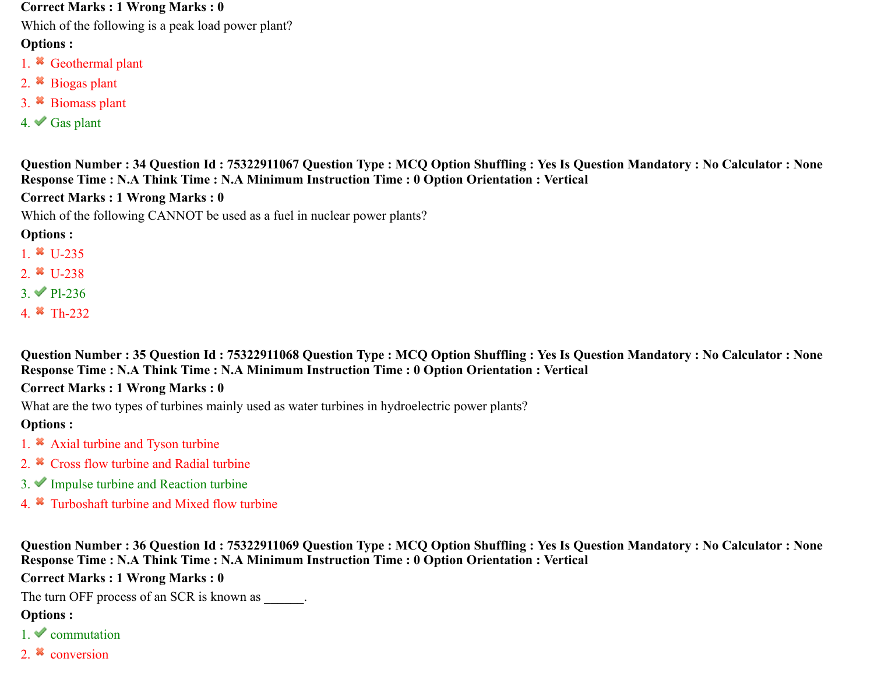#### **Correct Marks : 1 Wrong Marks : 0**

Which of the following is a peak load power plant?

#### **Options :**

- 1. <sup>\*</sup> Geothermal plant
- 2. Biogas plant
- 3. Biomass plant
- $4.$  Gas plant

#### **Question Number : 34 Question Id : 75322911067 Question Type : MCQ Option Shuffling : Yes Is Question Mandatory : No Calculator : None Response Time : N.A Think Time : N.A Minimum Instruction Time : 0 Option Orientation : Vertical**

#### **Correct Marks : 1 Wrong Marks : 0**

Which of the following CANNOT be used as a fuel in nuclear power plants?

#### **Options :**

- 1.  $*$  U-235
- 2.  $\frac{1}{2}$  U-238
- $3. \vee$  Pl-236
- 4. Th-232

**Question Number : 35 Question Id : 75322911068 Question Type : MCQ Option Shuffling : Yes Is Question Mandatory : No Calculator : None Response Time : N.A Think Time : N.A Minimum Instruction Time : 0 Option Orientation : Vertical**

#### **Correct Marks : 1 Wrong Marks : 0**

What are the two types of turbines mainly used as water turbines in hydroelectric power plants?

#### **Options :**

- 1. <sup>\*</sup> Axial turbine and Tyson turbine
- 2.  $\star$  Cross flow turbine and Radial turbine
- $3.$  Impulse turbine and Reaction turbine
- 4. Turboshaft turbine and Mixed flow turbine

**Question Number : 36 Question Id : 75322911069 Question Type : MCQ Option Shuffling : Yes Is Question Mandatory : No Calculator : None Response Time : N.A Think Time : N.A Minimum Instruction Time : 0 Option Orientation : Vertical**

**Correct Marks : 1 Wrong Marks : 0**

The turn OFF process of an SCR is known as  $\qquad \qquad$ .

- $1.$  commutation
- 2.  $\ast$  conversion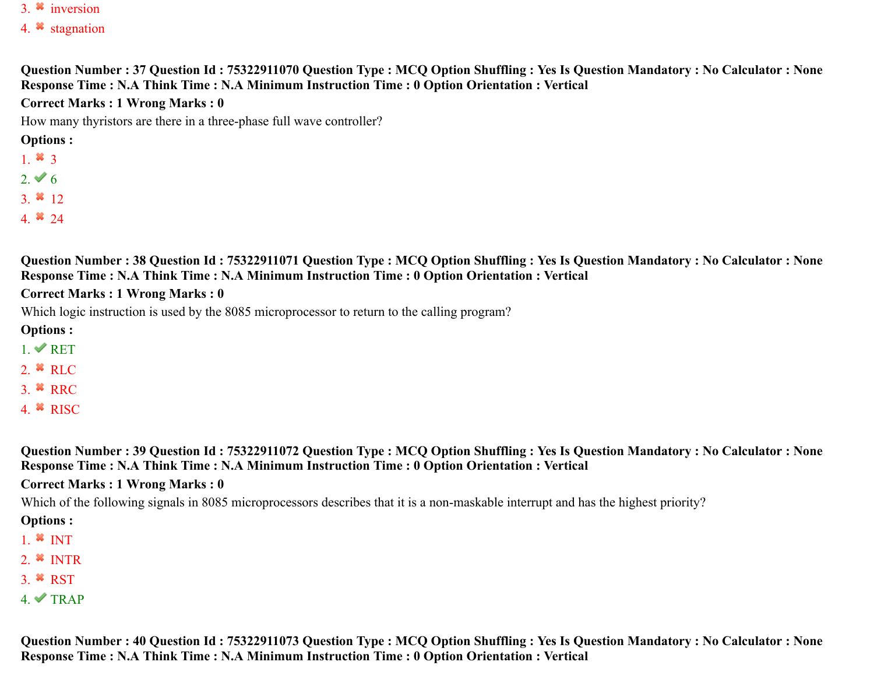- 3.  $\ast$  inversion
- 4. stagnation

#### **Question Number : 37 Question Id : 75322911070 Question Type : MCQ Option Shuffling : Yes Is Question Mandatory : No Calculator : None Response Time : N.A Think Time : N.A Minimum Instruction Time : 0 Option Orientation : Vertical**

#### **Correct Marks : 1 Wrong Marks : 0**

How many thyristors are there in a three-phase full wave controller?

#### **Options :**

- 1.  $*3$
- $2. \vee 6$
- 3.  $* 12$
- 4.  $*$  24

**Question Number : 38 Question Id : 75322911071 Question Type : MCQ Option Shuffling : Yes Is Question Mandatory : No Calculator : None Response Time : N.A Think Time : N.A Minimum Instruction Time : 0 Option Orientation : Vertical**

#### **Correct Marks : 1 Wrong Marks : 0**

Which logic instruction is used by the 8085 microprocessor to return to the calling program?

#### **Options :**

- $1. \vee$  RET
- 2.  $*$  RLC
- $3.$  **\*** RRC
- 4.  $*$  RISC

**Question Number : 39 Question Id : 75322911072 Question Type : MCQ Option Shuffling : Yes Is Question Mandatory : No Calculator : None Response Time : N.A Think Time : N.A Minimum Instruction Time : 0 Option Orientation : Vertical**

#### **Correct Marks : 1 Wrong Marks : 0**

Which of the following signals in 8085 microprocessors describes that it is a non-maskable interrupt and has the highest priority?

#### **Options :**

- 1.  $*$  INT
- 2.  $*$  INTR
- 3.  $*$  RST
- $4. \blacktriangleright$  TRAP

**Question Number : 40 Question Id : 75322911073 Question Type : MCQ Option Shuffling : Yes Is Question Mandatory : No Calculator : None Response Time : N.A Think Time : N.A Minimum Instruction Time : 0 Option Orientation : Vertical**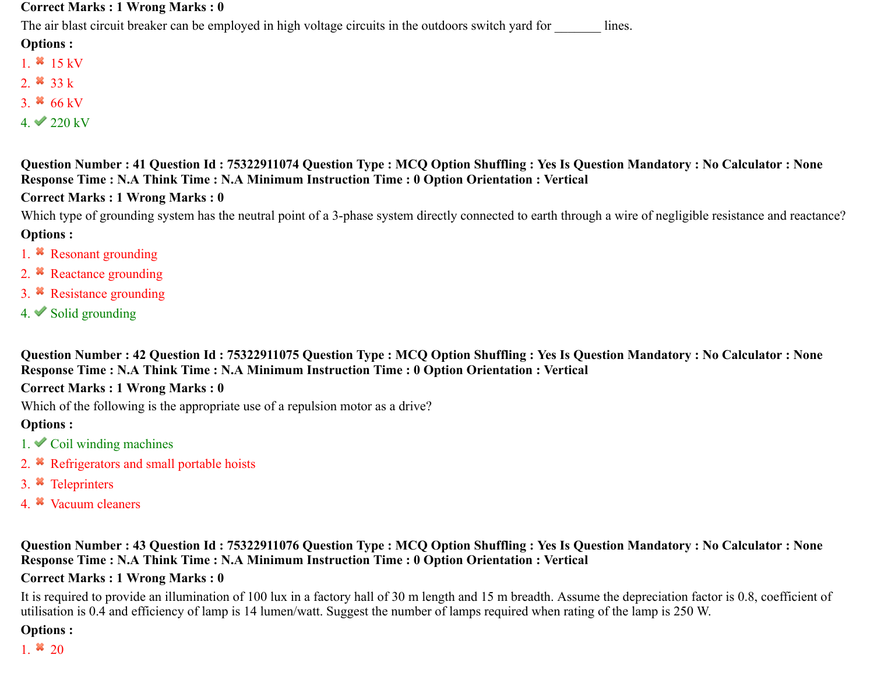#### **Correct Marks : 1 Wrong Marks : 0**

The air blast circuit breaker can be employed in high voltage circuits in the outdoors switch yard for lines.

#### **Options :**

- 1.  $*15 kV$
- 2.  $*33k$
- 3.  $*$  66 kV
- $4. \vee 220 \text{ kV}$

**Question Number : 41 Question Id : 75322911074 Question Type : MCQ Option Shuffling : Yes Is Question Mandatory : No Calculator : None Response Time : N.A Think Time : N.A Minimum Instruction Time : 0 Option Orientation : Vertical**

#### **Correct Marks : 1 Wrong Marks : 0**

Which type of grounding system has the neutral point of a 3-phase system directly connected to earth through a wire of negligible resistance and reactance? **Options :**

- 1. <sup>\*</sup> Resonant grounding
- 2. <sup>\*</sup> Reactance grounding
- 3. Resistance grounding
- 4.  $\blacktriangleright$  Solid grounding

**Question Number : 42 Question Id : 75322911075 Question Type : MCQ Option Shuffling : Yes Is Question Mandatory : No Calculator : None Response Time : N.A Think Time : N.A Minimum Instruction Time : 0 Option Orientation : Vertical**

#### **Correct Marks : 1 Wrong Marks : 0**

Which of the following is the appropriate use of a repulsion motor as a drive?

#### **Options :**

- $1.$  Coil winding machines
- 2. <sup>\*</sup> Refrigerators and small portable hoists
- 3. Teleprinters
- 4. Vacuum cleaners

**Question Number : 43 Question Id : 75322911076 Question Type : MCQ Option Shuffling : Yes Is Question Mandatory : No Calculator : None Response Time : N.A Think Time : N.A Minimum Instruction Time : 0 Option Orientation : Vertical**

#### **Correct Marks : 1 Wrong Marks : 0**

It is required to provide an illumination of 100 lux in a factory hall of 30 m length and 15 m breadth. Assume the depreciation factor is 0.8, coefficient of utilisation is 0.4 and efficiency of lamp is 14 lumen/watt. Suggest the number of lamps required when rating of the lamp is 250 W.

#### **Options :**

1.  $*20$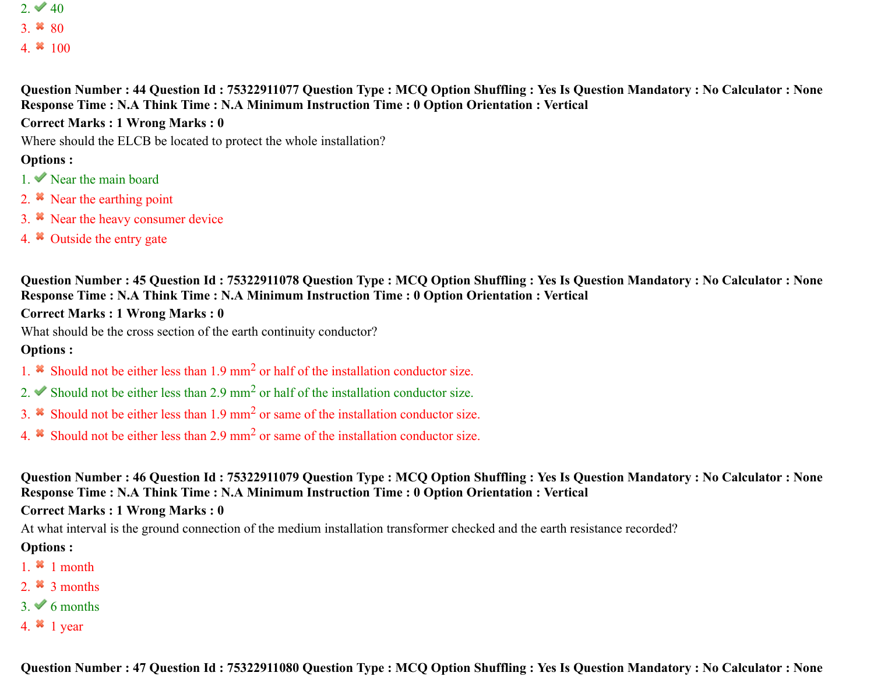2.  $40$ 3.  $*$  80

4.  $*100$ 

**Question Number : 44 Question Id : 75322911077 Question Type : MCQ Option Shuffling : Yes Is Question Mandatory : No Calculator : None Response Time : N.A Think Time : N.A Minimum Instruction Time : 0 Option Orientation : Vertical**

**Correct Marks : 1 Wrong Marks : 0**

Where should the ELCB be located to protect the whole installation?

#### **Options :**

- $1.$  Near the main board
- 2.  $\ast$  Near the earthing point
- 3. Near the heavy consumer device
- 4. <sup>\*</sup> Outside the entry gate

**Question Number : 45 Question Id : 75322911078 Question Type : MCQ Option Shuffling : Yes Is Question Mandatory : No Calculator : None Response Time : N.A Think Time : N.A Minimum Instruction Time : 0 Option Orientation : Vertical**

#### **Correct Marks : 1 Wrong Marks : 0**

What should be the cross section of the earth continuity conductor?

#### **Options :**

- 1.  $\ast$  Should not be either less than 1.9 mm<sup>2</sup> or half of the installation conductor size.
- 2. Should not be either less than 2.9 mm<sup>2</sup> or half of the installation conductor size.
- 3.  $\ast$  Should not be either less than 1.9 mm<sup>2</sup> or same of the installation conductor size.
- 4.  $\cdot$  Should not be either less than 2.9 mm<sup>2</sup> or same of the installation conductor size.

**Question Number : 46 Question Id : 75322911079 Question Type : MCQ Option Shuffling : Yes Is Question Mandatory : No Calculator : None Response Time : N.A Think Time : N.A Minimum Instruction Time : 0 Option Orientation : Vertical**

**Correct Marks : 1 Wrong Marks : 0**

At what interval is the ground connection of the medium installation transformer checked and the earth resistance recorded?

- 1.  $*1$  month
- 2.  $\frac{3}{2}$  months
- $3. \vee 6$  months
- 4.  $*$  1 year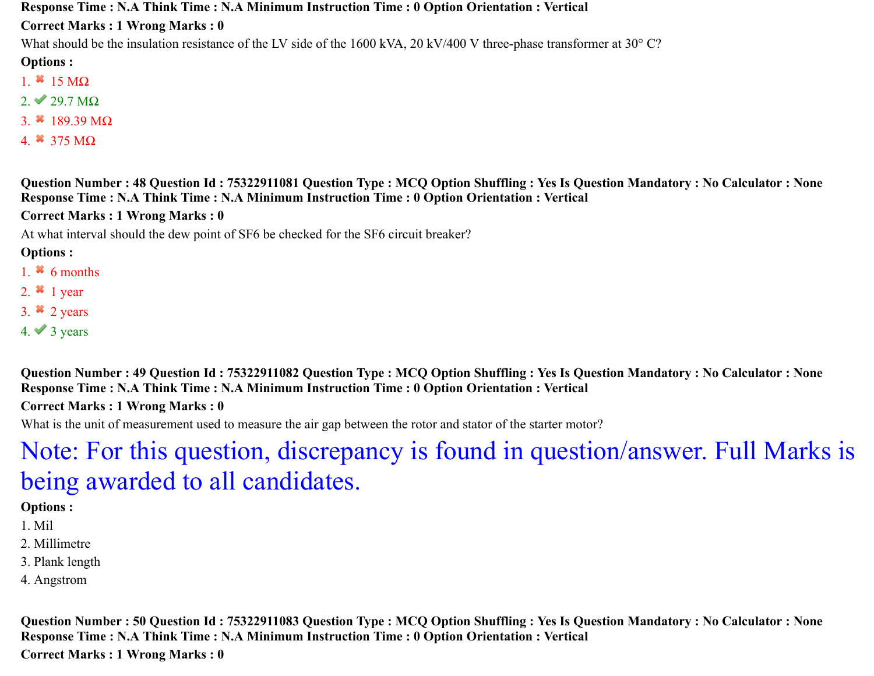**Response Time : N.A Think Time : N.A Minimum Instruction Time : 0 Option Orientation : Vertical**

**Correct Marks : 1 Wrong Marks : 0**

What should be the insulation resistance of the LV side of the 1600 kVA, 20 kV/400 V three-phase transformer at 30° C?

**Options :**

- 1.  $*15 \text{ M}\Omega$
- $2. \vee 29.7 \text{ M}\Omega$
- 3.  $189.39 MΩ$
- 4.  $*$  375 MQ

**Question Number : 48 Question Id : 75322911081 Question Type : MCQ Option Shuffling : Yes Is Question Mandatory : No Calculator : None Response Time : N.A Think Time : N.A Minimum Instruction Time : 0 Option Orientation : Vertical**

**Correct Marks : 1 Wrong Marks : 0**

At what interval should the dew point of SF6 be checked for the SF6 circuit breaker?

**Options :**

- 1.  $\frac{1}{2}$  6 months
- 2.  $*$  1 year
- 3.  $\approx$  2 years
- $4. \vee 3$  years

**Question Number : 49 Question Id : 75322911082 Question Type : MCQ Option Shuffling : Yes Is Question Mandatory : No Calculator : None Response Time : N.A Think Time : N.A Minimum Instruction Time : 0 Option Orientation : Vertical**

**Correct Marks : 1 Wrong Marks : 0**

What is the unit of measurement used to measure the air gap between the rotor and stator of the starter motor?

# Note: For this question, discrepancy is found in question/answer. Full Marks is being awarded to all candidates.

## **Options :**

- 1. Mil
- 2. Millimetre
- 3. Plank length
- 4. Angstrom

**Question Number : 50 Question Id : 75322911083 Question Type : MCQ Option Shuffling : Yes Is Question Mandatory : No Calculator : None Response Time : N.A Think Time : N.A Minimum Instruction Time : 0 Option Orientation : Vertical Correct Marks : 1 Wrong Marks : 0**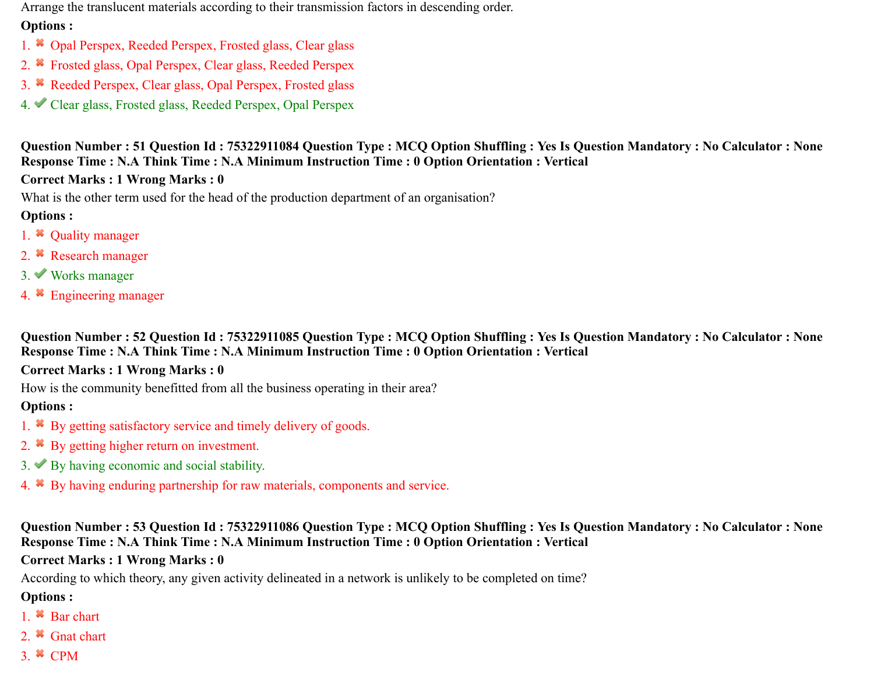Arrange the translucent materials according to their transmission factors in descending order.

#### **Options :**

- 1. <sup>\*</sup> Opal Perspex, Reeded Perspex, Frosted glass, Clear glass
- 2. <sup>\*</sup> Frosted glass, Opal Perspex, Clear glass, Reeded Perspex
- 3. Reeded Perspex, Clear glass, Opal Perspex, Frosted glass
- 4. Clear glass, Frosted glass, Reeded Perspex, Opal Perspex

**Question Number : 51 Question Id : 75322911084 Question Type : MCQ Option Shuffling : Yes Is Question Mandatory : No Calculator : None Response Time : N.A Think Time : N.A Minimum Instruction Time : 0 Option Orientation : Vertical**

## **Correct Marks : 1 Wrong Marks : 0**

What is the other term used for the head of the production department of an organisation?

## **Options :**

- 1.  $\ast$  Quality manager
- 2. <sup>\*</sup> Research manager
- 3. Works manager
- 4. Engineering manager

**Question Number : 52 Question Id : 75322911085 Question Type : MCQ Option Shuffling : Yes Is Question Mandatory : No Calculator : None Response Time : N.A Think Time : N.A Minimum Instruction Time : 0 Option Orientation : Vertical**

## **Correct Marks : 1 Wrong Marks : 0**

How is the community benefitted from all the business operating in their area?

## **Options :**

- 1. By getting satisfactory service and timely delivery of goods.
- 2. <sup>\*</sup> By getting higher return on investment.
- $3.$  By having economic and social stability.
- 4. By having enduring partnership for raw materials, components and service.

## **Question Number : 53 Question Id : 75322911086 Question Type : MCQ Option Shuffling : Yes Is Question Mandatory : No Calculator : None Response Time : N.A Think Time : N.A Minimum Instruction Time : 0 Option Orientation : Vertical**

## **Correct Marks : 1 Wrong Marks : 0**

According to which theory, any given activity delineated in a network is unlikely to be completed on time?

- 1. <sup>\*</sup> Bar chart
- 2. <sup>\*</sup> Gnat chart
- $3.$   $\infty$  CPM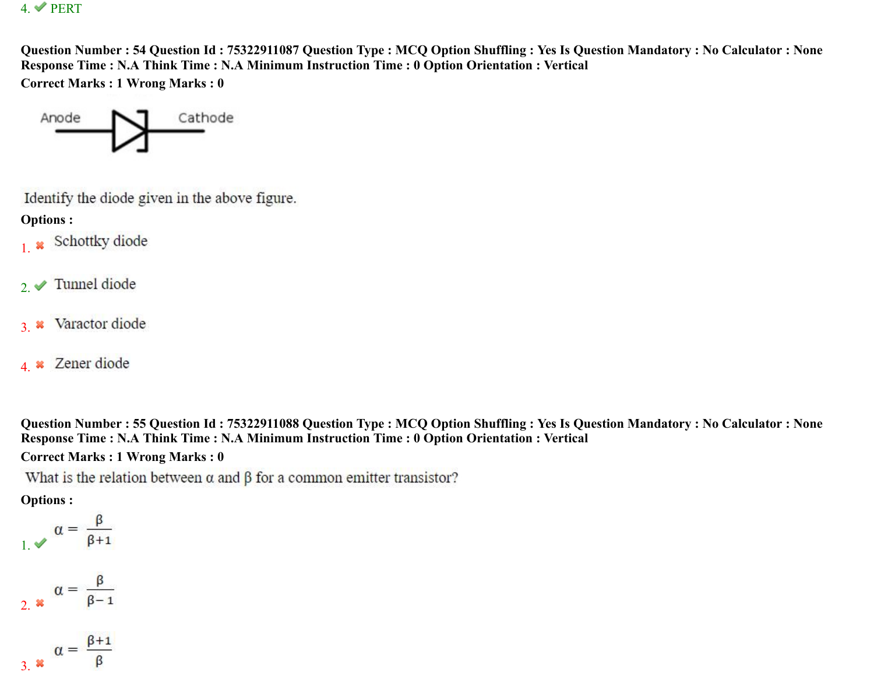#### 4. PERT

**Question Number : 54 Question Id : 75322911087 Question Type : MCQ Option Shuffling : Yes Is Question Mandatory : No Calculator : None Response Time : N.A Think Time : N.A Minimum Instruction Time : 0 Option Orientation : Vertical Correct Marks : 1 Wrong Marks : 0**



Identify the diode given in the above figure.

**Options :**

- 1. \* Schottky diode
- 2.  $\blacktriangleright$  Tunnel diode
- Varactor diode 3.
- 4. **\*** Zener diode

**Question Number : 55 Question Id : 75322911088 Question Type : MCQ Option Shuffling : Yes Is Question Mandatory : No Calculator : None Response Time : N.A Think Time : N.A Minimum Instruction Time : 0 Option Orientation : Vertical**

**Correct Marks : 1 Wrong Marks : 0**

What is the relation between  $\alpha$  and  $\beta$  for a common emitter transistor?

**Options :**

 $\alpha = \frac{\beta}{\beta + 1}$ 

$$
2. \; \mathbf{x} \quad \alpha = \frac{\beta}{\beta - 1}
$$

$$
a = \frac{\beta + 1}{\beta}
$$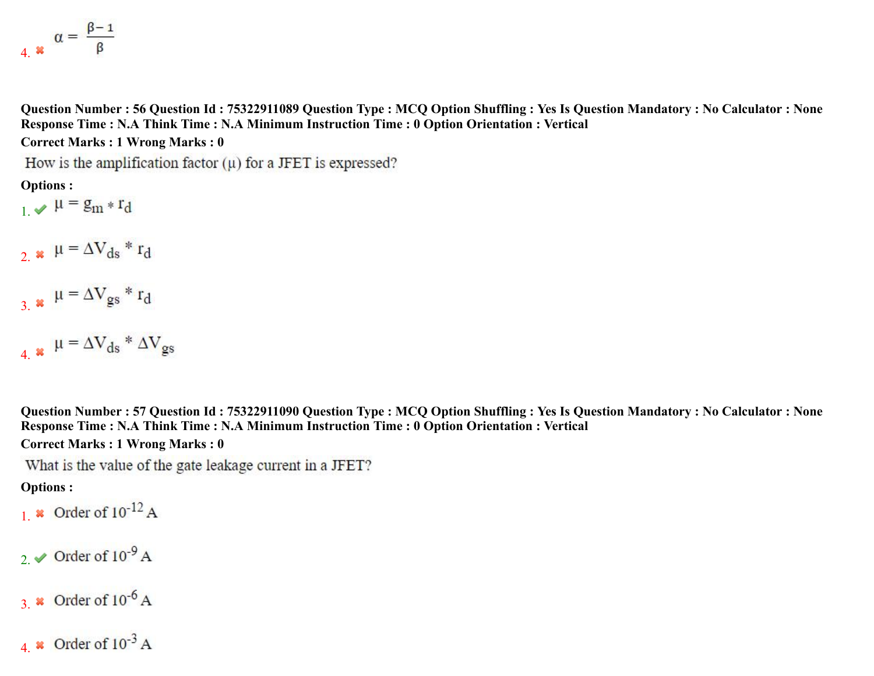$$
A_{\alpha} \cdot \alpha = \frac{\beta - 1}{\beta}
$$

**Question Number : 56 Question Id : 75322911089 Question Type : MCQ Option Shuffling : Yes Is Question Mandatory : No Calculator : None Response Time : N.A Think Time : N.A Minimum Instruction Time : 0 Option Orientation : Vertical Correct Marks : 1 Wrong Marks : 0**

How is the amplification factor  $(u)$  for a JFET is expressed?

**Options :**

 $\mu = g_m * r_d$ 

- 2.  $\mathbf{u} = \Delta V_{ds} * r_d$
- $\mu = \Delta V_{gs} * r_d$
- 4.  $\mathbf{u} = \Delta V_{ds} * \Delta V_{gs}$

**Question Number : 57 Question Id : 75322911090 Question Type : MCQ Option Shuffling : Yes Is Question Mandatory : No Calculator : None Response Time : N.A Think Time : N.A Minimum Instruction Time : 0 Option Orientation : Vertical Correct Marks : 1 Wrong Marks : 0**

What is the value of the gate leakage current in a JFET?

**Options :**

1.  $\boldsymbol{\ast}$  Order of  $10^{-12}$  A

- 2.  $\vee$  Order of 10<sup>-9</sup> A
- 3.  $\star$  Order of 10<sup>-6</sup> A
- 4.  $\boldsymbol{\ast}$  Order of  $10^{-3}$  A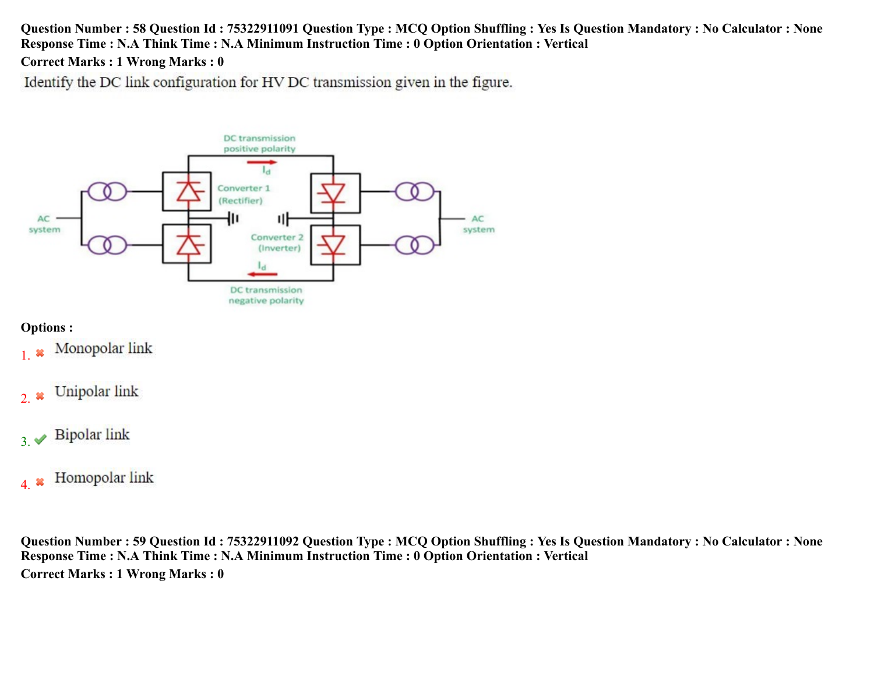#### **Question Number : 58 Question Id : 75322911091 Question Type : MCQ Option Shuffling : Yes Is Question Mandatory : No Calculator : None Response Time : N.A Think Time : N.A Minimum Instruction Time : 0 Option Orientation : Vertical**

#### **Correct Marks : 1 Wrong Marks : 0**

Identify the DC link configuration for HV DC transmission given in the figure.



#### **Options :**

- Monopolar link 1.
- Unipolar link 2.
- **Bipolar link**  $3. \blacktriangleright$
- Homopolar link 4.

**Question Number : 59 Question Id : 75322911092 Question Type : MCQ Option Shuffling : Yes Is Question Mandatory : No Calculator : None Response Time : N.A Think Time : N.A Minimum Instruction Time : 0 Option Orientation : Vertical Correct Marks : 1 Wrong Marks : 0**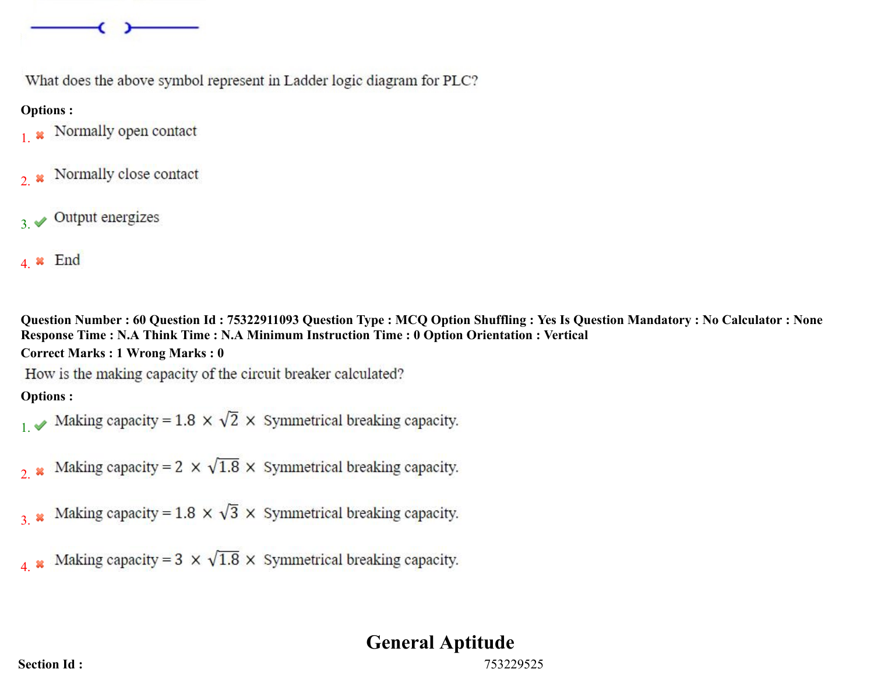

What does the above symbol represent in Ladder logic diagram for PLC?

#### **Options :**

- Normally open contact 1.
- Normally close contact  $2.8$
- Output energizes  $3 \leq$
- $4 \times$  End

**Question Number : 60 Question Id : 75322911093 Question Type : MCQ Option Shuffling : Yes Is Question Mandatory : No Calculator : None Response Time : N.A Think Time : N.A Minimum Instruction Time : 0 Option Orientation : Vertical Correct Marks : 1 Wrong Marks : 0**

How is the making capacity of the circuit breaker calculated?

## **Options :**

- Making capacity = 1.8  $\times$   $\sqrt{2}$   $\times$  Symmetrical breaking capacity.
- Making capacity =  $2 \times \sqrt{1.8} \times$  Symmetrical breaking capacity.  $2.38$
- Making capacity = 1.8  $\times$   $\sqrt{3}$   $\times$  Symmetrical breaking capacity. 3.

Making capacity =  $3 \times \sqrt{1.8} \times$  Symmetrical breaking capacity. 4.

## **General Aptitude**

**Section Id :** 753229525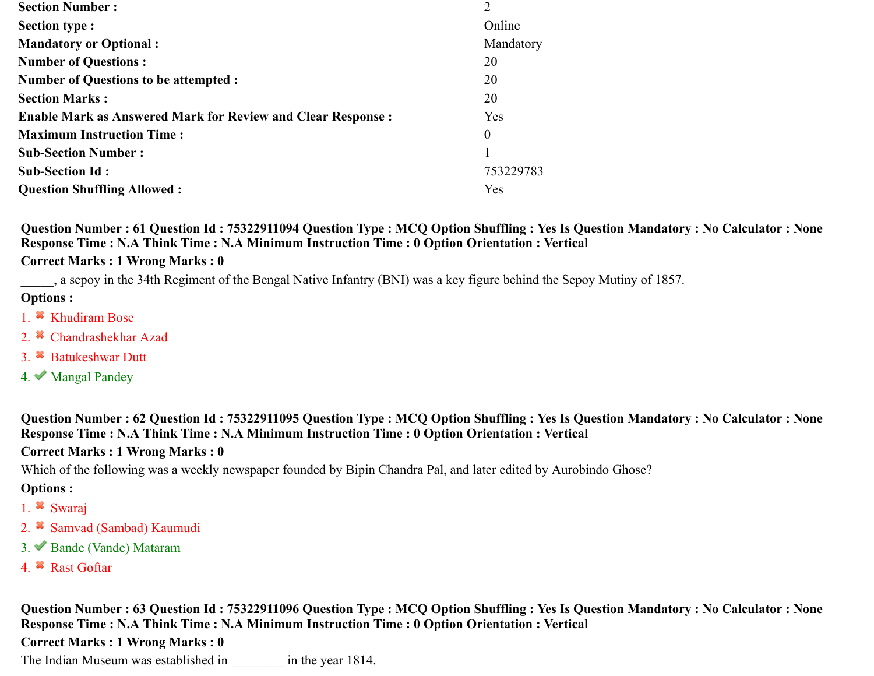| <b>Section Number:</b>                                             | 2                |
|--------------------------------------------------------------------|------------------|
| <b>Section type :</b>                                              | Online           |
| <b>Mandatory or Optional:</b>                                      | Mandatory        |
| <b>Number of Questions:</b>                                        | 20               |
| <b>Number of Questions to be attempted :</b>                       | 20               |
| <b>Section Marks:</b>                                              | 20               |
| <b>Enable Mark as Answered Mark for Review and Clear Response:</b> | Yes              |
| <b>Maximum Instruction Time:</b>                                   | $\boldsymbol{0}$ |
| <b>Sub-Section Number:</b>                                         |                  |
| <b>Sub-Section Id:</b>                                             | 753229783        |
| <b>Question Shuffling Allowed:</b>                                 | <b>Yes</b>       |

**Question Number : 61 Question Id : 75322911094 Question Type : MCQ Option Shuffling : Yes Is Question Mandatory : No Calculator : None Response Time : N.A Think Time : N.A Minimum Instruction Time : 0 Option Orientation : Vertical**

#### **Correct Marks : 1 Wrong Marks : 0**

\_\_\_\_\_, a sepoy in the 34th Regiment of the Bengal Native Infantry (BNI) was a key figure behind the Sepoy Mutiny of 1857.

#### **Options :**

- 1. <sup>\*</sup> Khudiram Bose
- 2. <sup>\*</sup> Chandrashekhar Azad
- 3. Batukeshwar Dutt
- 4. Mangal Pandey

**Question Number : 62 Question Id : 75322911095 Question Type : MCQ Option Shuffling : Yes Is Question Mandatory : No Calculator : None Response Time : N.A Think Time : N.A Minimum Instruction Time : 0 Option Orientation : Vertical**

#### **Correct Marks : 1 Wrong Marks : 0**

Which of the following was a weekly newspaper founded by Bipin Chandra Pal, and later edited by Aurobindo Ghose?

#### **Options :**

- 1. Swaraj
- 2. <sup>\*</sup> Samvad (Sambad) Kaumudi
- 3. Bande (Vande) Mataram
- 4. <sup>\*</sup> Rast Goftar

**Question Number : 63 Question Id : 75322911096 Question Type : MCQ Option Shuffling : Yes Is Question Mandatory : No Calculator : None Response Time : N.A Think Time : N.A Minimum Instruction Time : 0 Option Orientation : Vertical**

#### **Correct Marks : 1 Wrong Marks : 0**

The Indian Museum was established in  $\frac{1814}{100}$  in the year 1814.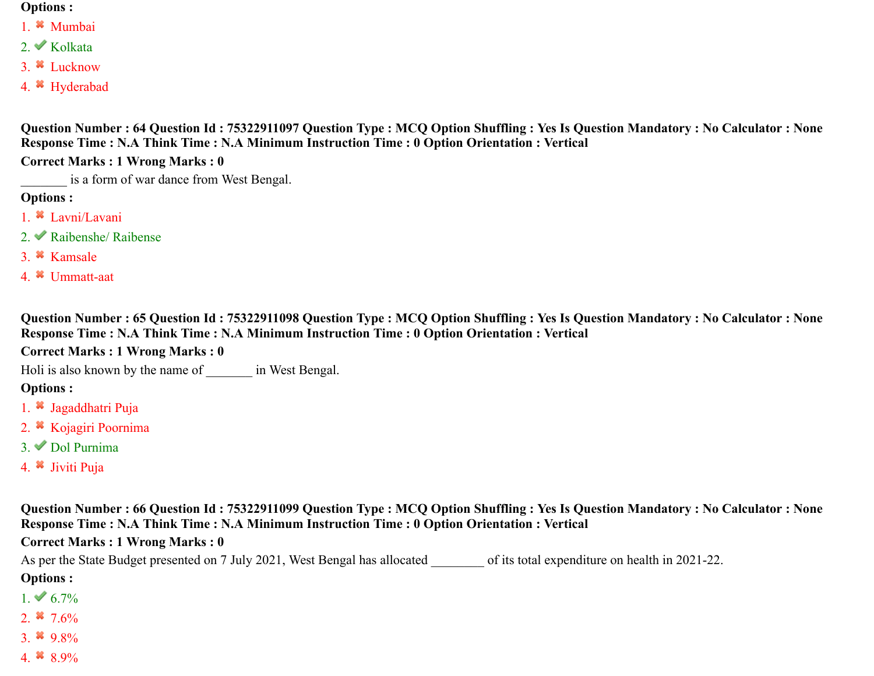#### **Options :**

- 1. Mumbai
- $2.$  Kolkata
- 3. Lucknow
- 4. Hyderabad

**Question Number : 64 Question Id : 75322911097 Question Type : MCQ Option Shuffling : Yes Is Question Mandatory : No Calculator : None Response Time : N.A Think Time : N.A Minimum Instruction Time : 0 Option Orientation : Vertical**

**Correct Marks : 1 Wrong Marks : 0**

is a form of war dance from West Bengal.

#### **Options :**

- 1.  $\ast$  Lavni/Lavani
- 2. Raibenshe/ Raibense
- 3. Kamsale
- 4. Ummatt-aat

**Question Number : 65 Question Id : 75322911098 Question Type : MCQ Option Shuffling : Yes Is Question Mandatory : No Calculator : None Response Time : N.A Think Time : N.A Minimum Instruction Time : 0 Option Orientation : Vertical**

#### **Correct Marks : 1 Wrong Marks : 0**

Holi is also known by the name of  $\qquad \qquad$  in West Bengal.

## **Options :**

- 1.  $\ast$  Jagaddhatri Puja
- 2. <sup>\*</sup> Kojagiri Poornima
- 3. Dol Purnima
- 4. <sup>\*</sup> Jiviti Puja

**Question Number : 66 Question Id : 75322911099 Question Type : MCQ Option Shuffling : Yes Is Question Mandatory : No Calculator : None Response Time : N.A Think Time : N.A Minimum Instruction Time : 0 Option Orientation : Vertical**

#### **Correct Marks : 1 Wrong Marks : 0**

As per the State Budget presented on 7 July 2021, West Bengal has allocated of its total expenditure on health in 2021-22. **Options :**

- $1. \vee 6.7\%$
- 2.  $*$  7.6%
- 3.  $9.8\%$
- 4.  $8.9\%$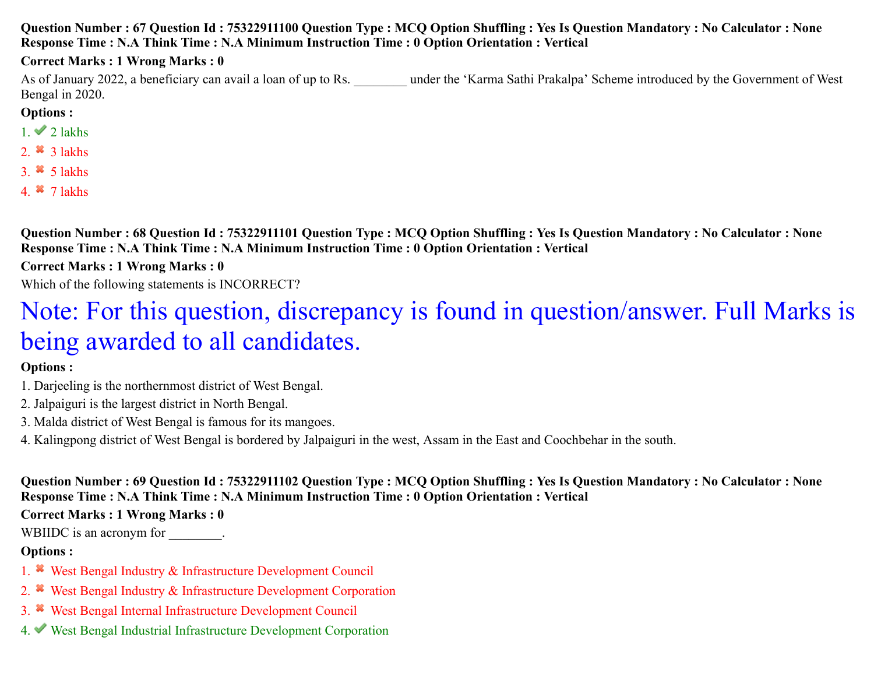#### **Question Number : 67 Question Id : 75322911100 Question Type : MCQ Option Shuffling : Yes Is Question Mandatory : No Calculator : None Response Time : N.A Think Time : N.A Minimum Instruction Time : 0 Option Orientation : Vertical**

#### **Correct Marks : 1 Wrong Marks : 0**

As of January 2022, a beneficiary can avail a loan of up to Rs. <br>
under the 'Karma Sathi Prakalpa' Scheme introduced by the Government of West Bengal in 2020.

#### **Options :**

- $1. \vee 2$  lakhs
- 2.  $*$  3 lakhs
- 3.  $\frac{3}{5}$  Jakhs
- 4.  $*$  7 lakhs

**Question Number : 68 Question Id : 75322911101 Question Type : MCQ Option Shuffling : Yes Is Question Mandatory : No Calculator : None Response Time : N.A Think Time : N.A Minimum Instruction Time : 0 Option Orientation : Vertical**

**Correct Marks : 1 Wrong Marks : 0**

Which of the following statements is INCORRECT?

# Note: For this question, discrepancy is found in question/answer. Full Marks is being awarded to all candidates.

#### **Options :**

- 1. Darjeeling is the northernmost district of West Bengal.
- 2. Jalpaiguri is the largest district in North Bengal.
- 3. Malda district of West Bengal is famous for its mangoes.
- 4. Kalingpong district of West Bengal is bordered by Jalpaiguri in the west, Assam in the East and Coochbehar in the south.

**Question Number : 69 Question Id : 75322911102 Question Type : MCQ Option Shuffling : Yes Is Question Mandatory : No Calculator : None Response Time : N.A Think Time : N.A Minimum Instruction Time : 0 Option Orientation : Vertical**

#### **Correct Marks : 1 Wrong Marks : 0**

WBIIDC is an acronym for  $\cdot$ 

- 1. West Bengal Industry & Infrastructure Development Council
- 2. West Bengal Industry & Infrastructure Development Corporation
- 3. West Bengal Internal Infrastructure Development Council
- 4. West Bengal Industrial Infrastructure Development Corporation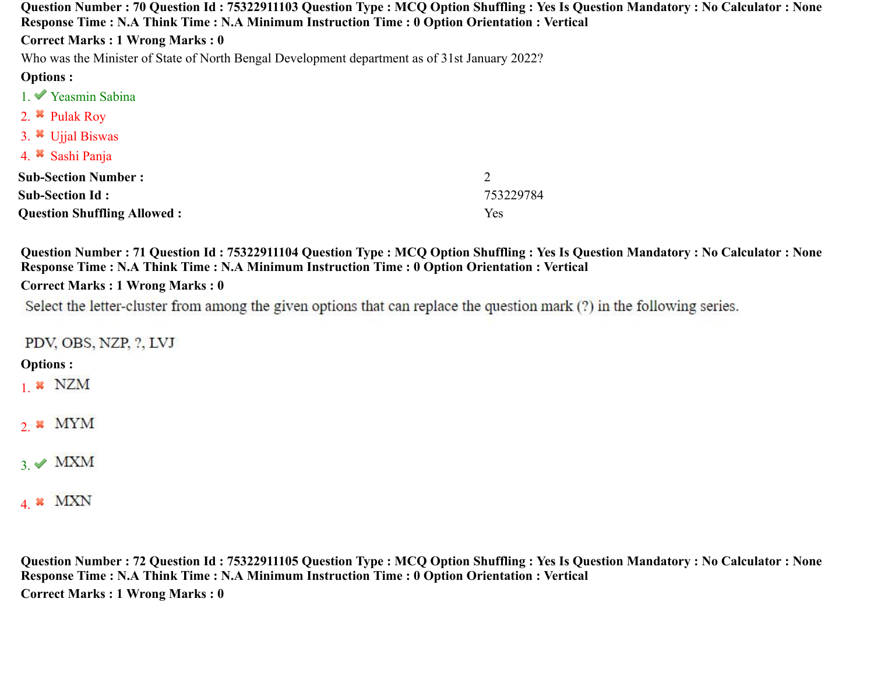| Question Number: 70 Question Id: 75322911103 Question Type: MCQ Option Shuffling: Yes Is Question Mandatory: No Calculator: None<br>Response Time : N.A Think Time : N.A Minimum Instruction Time : 0 Option Orientation : Vertical |           |  |
|-------------------------------------------------------------------------------------------------------------------------------------------------------------------------------------------------------------------------------------|-----------|--|
| <b>Correct Marks: 1 Wrong Marks: 0</b>                                                                                                                                                                                              |           |  |
| Who was the Minister of State of North Bengal Development department as of 31st January 2022?                                                                                                                                       |           |  |
| <b>Options:</b>                                                                                                                                                                                                                     |           |  |
| 1. Yeasmin Sabina                                                                                                                                                                                                                   |           |  |
| 2. $\bullet$ Pulak Roy                                                                                                                                                                                                              |           |  |
| 3. $\bullet$ Ujjal Biswas                                                                                                                                                                                                           |           |  |
| 4. Sashi Panja                                                                                                                                                                                                                      |           |  |
| <b>Sub-Section Number:</b>                                                                                                                                                                                                          | 2         |  |
| <b>Sub-Section Id:</b>                                                                                                                                                                                                              | 753229784 |  |
| <b>Question Shuffling Allowed:</b>                                                                                                                                                                                                  | Yes       |  |

**Question Number : 71 Question Id : 75322911104 Question Type : MCQ Option Shuffling : Yes Is Question Mandatory : No Calculator : None Response Time : N.A Think Time : N.A Minimum Instruction Time : 0 Option Orientation : Vertical**

#### **Correct Marks : 1 Wrong Marks : 0**

Select the letter-cluster from among the given options that can replace the question mark (?) in the following series.

PDV, OBS, NZP, ?, LVJ

#### **Options :**

 $1 \times NZM$ 

 $2.$  WYM

## $3.$  MXM

## 4.  $*$  MXN

**Question Number : 72 Question Id : 75322911105 Question Type : MCQ Option Shuffling : Yes Is Question Mandatory : No Calculator : None Response Time : N.A Think Time : N.A Minimum Instruction Time : 0 Option Orientation : Vertical Correct Marks : 1 Wrong Marks : 0**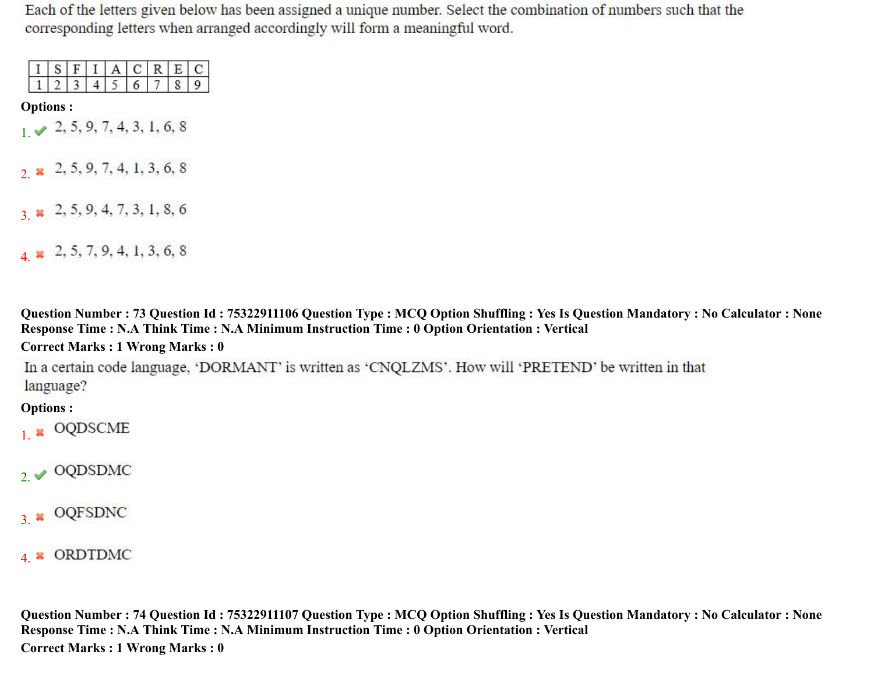Each of the letters given below has been assigned a unique number. Select the combination of numbers such that the corresponding letters when arranged accordingly will form a meaningful word.

|  |  | - 1   + |  |  |
|--|--|---------|--|--|
|  |  |         |  |  |

**Options :**

 $1 \times 2, 5, 9, 7, 4, 3, 1, 6, 8$ 

2.  $\boldsymbol{\ast}$  2, 5, 9, 7, 4, 1, 3, 6, 8

 $3 \times 2, 5, 9, 4, 7, 3, 1, 8, 6$ 

4  $\star$  2, 5, 7, 9, 4, 1, 3, 6, 8

**Question Number : 73 Question Id : 75322911106 Question Type : MCQ Option Shuffling : Yes Is Question Mandatory : No Calculator : None Response Time : N.A Think Time : N.A Minimum Instruction Time : 0 Option Orientation : Vertical**

#### **Correct Marks : 1 Wrong Marks : 0**

In a certain code language, 'DORMANT' is written as 'CNQLZMS'. How will 'PRETEND' be written in that language?

**Options :**

- $1.$  \* OQDSCME
- $2. \times$  OQDSDMC
- $3.$  \* OQFSDNC

4 \* ORDTDMC

**Question Number : 74 Question Id : 75322911107 Question Type : MCQ Option Shuffling : Yes Is Question Mandatory : No Calculator : None Response Time : N.A Think Time : N.A Minimum Instruction Time : 0 Option Orientation : Vertical Correct Marks : 1 Wrong Marks : 0**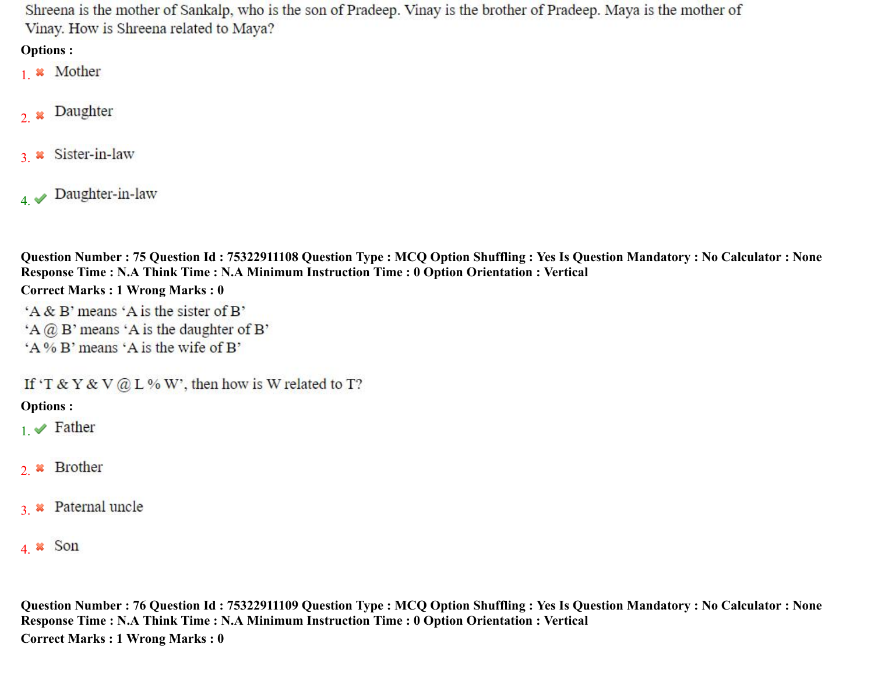Shreena is the mother of Sankalp, who is the son of Pradeep. Vinay is the brother of Pradeep. Maya is the mother of Vinay. How is Shreena related to Maya?

## **Options :**

- 1. **\*** Mother
- Daughter  $2.$   $*$
- 3. \* Sister-in-law
- $4. \blacktriangleright$  Daughter-in-law

**Question Number : 75 Question Id : 75322911108 Question Type : MCQ Option Shuffling : Yes Is Question Mandatory : No Calculator : None Response Time : N.A Think Time : N.A Minimum Instruction Time : 0 Option Orientation : Vertical**

#### **Correct Marks : 1 Wrong Marks : 0**

'A & B' means 'A is the sister of B'

- $A \times B'$  means  $A$  is the daughter of B'
- 'A % B' means 'A is the wife of B'

If 'T & Y & V @ L % W', then how is W related to T?

**Options :**

- $_1 \blacktriangleright$  Father
- 2 x Brother
- 3 \* Paternal uncle
- 4.  $\ast$  Son

**Question Number : 76 Question Id : 75322911109 Question Type : MCQ Option Shuffling : Yes Is Question Mandatory : No Calculator : None Response Time : N.A Think Time : N.A Minimum Instruction Time : 0 Option Orientation : Vertical Correct Marks : 1 Wrong Marks : 0**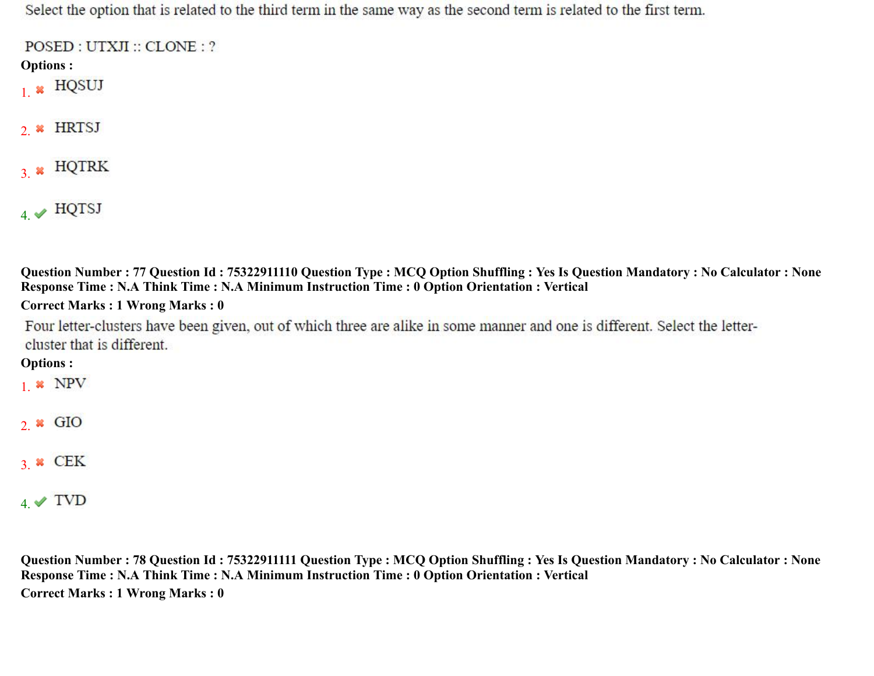Select the option that is related to the third term in the same way as the second term is related to the first term.

POSED : UTXJI :: CLONE : ?

- **Options :**
- $_{1.}$  \*  $HQSUJ$
- $2.$  \* HRTSJ
- $3.$  \* HQTRK
- $4. \blacktriangleright$  HQTSJ

**Question Number : 77 Question Id : 75322911110 Question Type : MCQ Option Shuffling : Yes Is Question Mandatory : No Calculator : None Response Time : N.A Think Time : N.A Minimum Instruction Time : 0 Option Orientation : Vertical**

#### **Correct Marks : 1 Wrong Marks : 0**

Four letter-clusters have been given, out of which three are alike in some manner and one is different. Select the lettercluster that is different.

## **Options :**

- $1.$  \* NPV
- $2 \times$  GIO
- $3.8$  CEK
- $4. \blacktriangleright$  TVD

**Question Number : 78 Question Id : 75322911111 Question Type : MCQ Option Shuffling : Yes Is Question Mandatory : No Calculator : None Response Time : N.A Think Time : N.A Minimum Instruction Time : 0 Option Orientation : Vertical Correct Marks : 1 Wrong Marks : 0**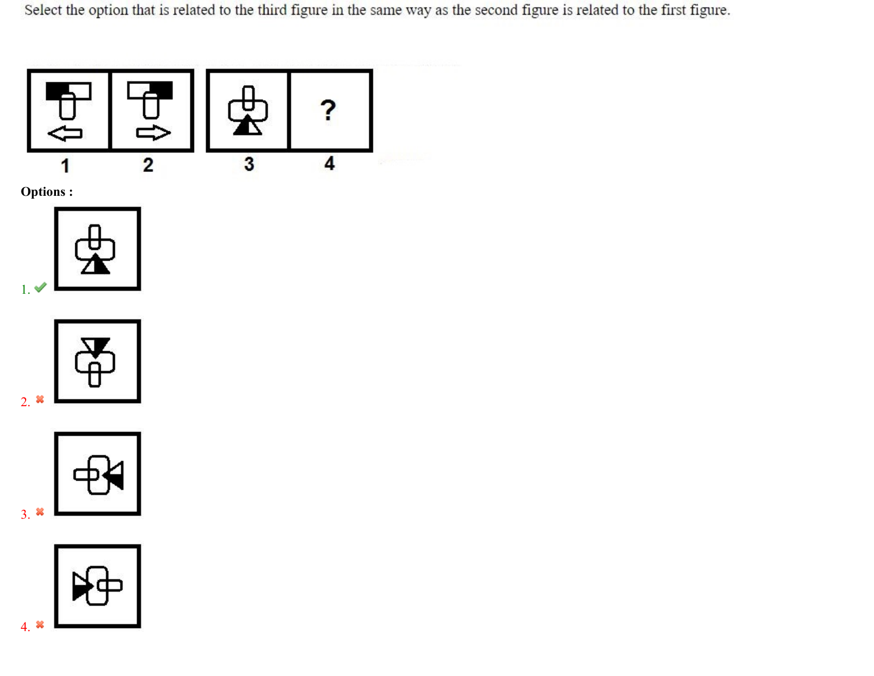Select the option that is related to the third figure in the same way as the second figure is related to the first figure.









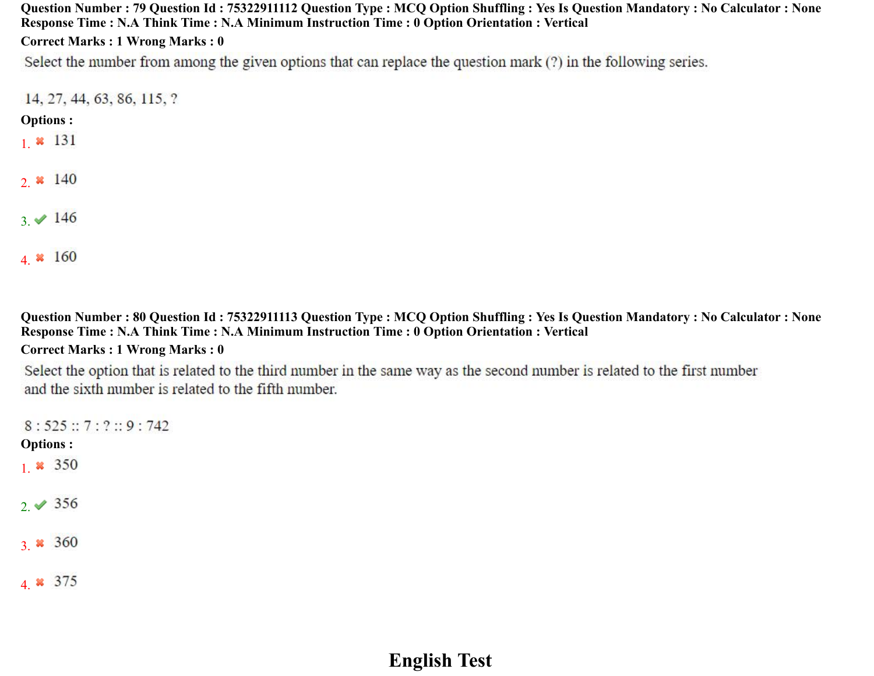**Question Number : 79 Question Id : 75322911112 Question Type : MCQ Option Shuffling : Yes Is Question Mandatory : No Calculator : None Response Time : N.A Think Time : N.A Minimum Instruction Time : 0 Option Orientation : Vertical Correct Marks : 1 Wrong Marks : 0**

Select the number from among the given options that can replace the question mark (?) in the following series.

14, 27, 44, 63, 86, 115, ?

#### **Options :**

- 1.  $*$  131
- 2.  $* 140$
- $3. \vee 146$
- 4.  $* 160$

**Question Number : 80 Question Id : 75322911113 Question Type : MCQ Option Shuffling : Yes Is Question Mandatory : No Calculator : None Response Time : N.A Think Time : N.A Minimum Instruction Time : 0 Option Orientation : Vertical**

#### **Correct Marks : 1 Wrong Marks : 0**

Select the option that is related to the third number in the same way as the second number is related to the first number and the sixth number is related to the fifth number.

 $8:525::7:?::9:742$ **Options :** 1  $\frac{1}{2}$  350  $2. \times 356$ 3.  $* 360$ 4. \* 375

## **English Test**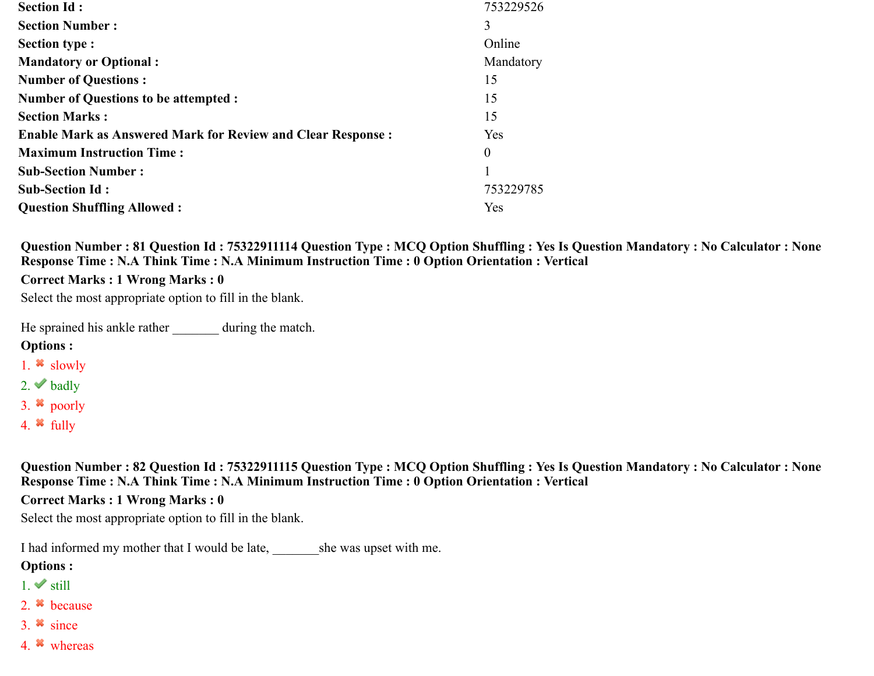| <b>Section Id:</b>                                                 | 753229526 |
|--------------------------------------------------------------------|-----------|
| <b>Section Number:</b>                                             | 3         |
| Section type :                                                     | Online    |
| <b>Mandatory or Optional:</b>                                      | Mandatory |
| <b>Number of Questions:</b>                                        | 15        |
| <b>Number of Questions to be attempted :</b>                       | 15        |
| <b>Section Marks:</b>                                              | 15        |
| <b>Enable Mark as Answered Mark for Review and Clear Response:</b> | Yes       |
| <b>Maximum Instruction Time:</b>                                   | $\Omega$  |
| <b>Sub-Section Number:</b>                                         |           |
| <b>Sub-Section Id:</b>                                             | 753229785 |
| <b>Question Shuffling Allowed:</b>                                 | Yes       |

**Question Number : 81 Question Id : 75322911114 Question Type : MCQ Option Shuffling : Yes Is Question Mandatory : No Calculator : None Response Time : N.A Think Time : N.A Minimum Instruction Time : 0 Option Orientation : Vertical**

**Correct Marks : 1 Wrong Marks : 0**

Select the most appropriate option to fill in the blank.

He sprained his ankle rather during the match.

#### **Options :**

- 1.  $\frac{1}{2}$  slowly
- 2.  $\blacktriangleright$  badly
- 3.  $\bullet$  poorly
- 4.  $*$  fully

**Question Number : 82 Question Id : 75322911115 Question Type : MCQ Option Shuffling : Yes Is Question Mandatory : No Calculator : None Response Time : N.A Think Time : N.A Minimum Instruction Time : 0 Option Orientation : Vertical**

**Correct Marks : 1 Wrong Marks : 0**

Select the most appropriate option to fill in the blank.

I had informed my mother that I would be late, she was upset with me.

- $1.$  still
- 2. because
- 3.  $\frac{3}{2}$  since
- 4. whereas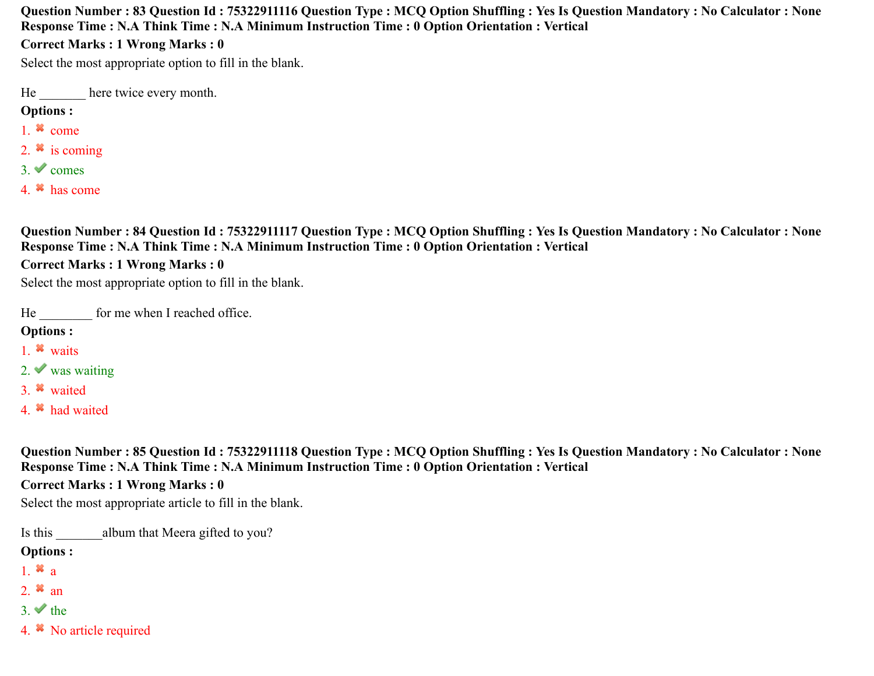**Question Number : 83 Question Id : 75322911116 Question Type : MCQ Option Shuffling : Yes Is Question Mandatory : No Calculator : None Response Time : N.A Think Time : N.A Minimum Instruction Time : 0 Option Orientation : Vertical**

#### **Correct Marks : 1 Wrong Marks : 0**

Select the most appropriate option to fill in the blank.

He here twice every month.

#### **Options :**

- 1.  $*$  come
- 2.  $\ast$  is coming
- $3.$  comes
- 4. has come

**Question Number : 84 Question Id : 75322911117 Question Type : MCQ Option Shuffling : Yes Is Question Mandatory : No Calculator : None Response Time : N.A Think Time : N.A Minimum Instruction Time : 0 Option Orientation : Vertical**

#### **Correct Marks : 1 Wrong Marks : 0**

Select the most appropriate option to fill in the blank.

He for me when I reached office.

#### **Options :**

- 1. waits
- 2. was waiting
- 3. waited
- 4. <sup>\*</sup> had waited

**Question Number : 85 Question Id : 75322911118 Question Type : MCQ Option Shuffling : Yes Is Question Mandatory : No Calculator : None Response Time : N.A Think Time : N.A Minimum Instruction Time : 0 Option Orientation : Vertical**

#### **Correct Marks : 1 Wrong Marks : 0**

Select the most appropriate article to fill in the blank.

Is this album that Meera gifted to you?

- 1.  $\mathbf{a}$  a
- 2.  $*$  an
- 3.  $\blacktriangleright$  the
- 4. No article required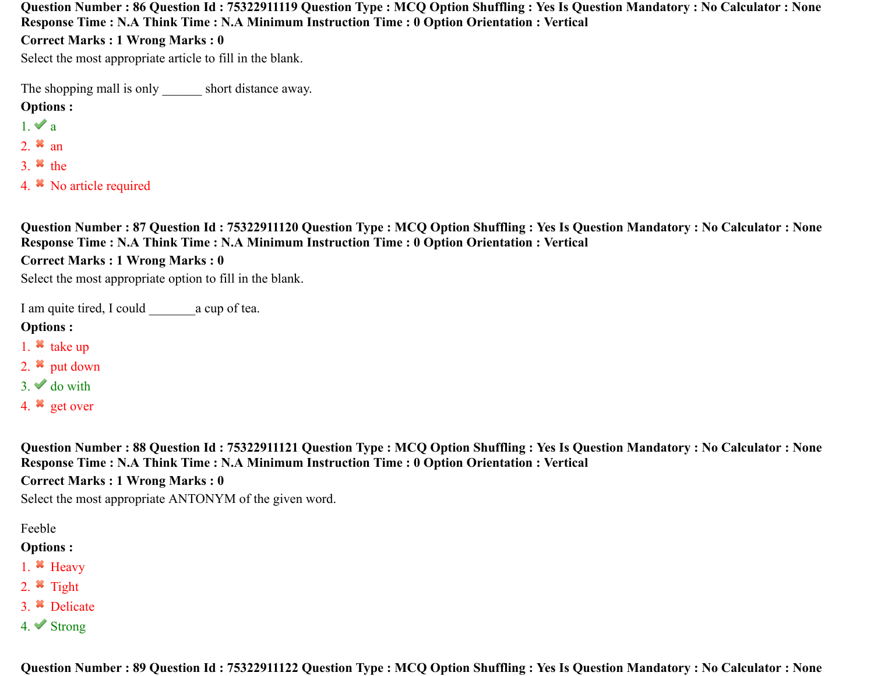**Question Number : 86 Question Id : 75322911119 Question Type : MCQ Option Shuffling : Yes Is Question Mandatory : No Calculator : None Response Time : N.A Think Time : N.A Minimum Instruction Time : 0 Option Orientation : Vertical**

**Correct Marks : 1 Wrong Marks : 0**

Select the most appropriate article to fill in the blank.

The shopping mall is only short distance away.

#### **Options :**

- $1. \vee a$
- 2.  $*$  an
- 3.  $*$  the
- 4. No article required

**Question Number : 87 Question Id : 75322911120 Question Type : MCQ Option Shuffling : Yes Is Question Mandatory : No Calculator : None Response Time : N.A Think Time : N.A Minimum Instruction Time : 0 Option Orientation : Vertical**

**Correct Marks : 1 Wrong Marks : 0**

Select the most appropriate option to fill in the blank.

I am quite tired, I could a cup of tea.

#### **Options :**

- 1.  $\ast$  take up
- 2.  $\bullet$  put down
- $3.$  do with
- 4. get over

**Question Number : 88 Question Id : 75322911121 Question Type : MCQ Option Shuffling : Yes Is Question Mandatory : No Calculator : None Response Time : N.A Think Time : N.A Minimum Instruction Time : 0 Option Orientation : Vertical**

**Correct Marks : 1 Wrong Marks : 0**

Select the most appropriate ANTONYM of the given word.

Feeble

- **Options :**
- 1.  $\bullet$  Heavy
- 2.  $*$  Tight
- 3. Delicate
- 4. Strong

**Question Number : 89 Question Id : 75322911122 Question Type : MCQ Option Shuffling : Yes Is Question Mandatory : No Calculator : None**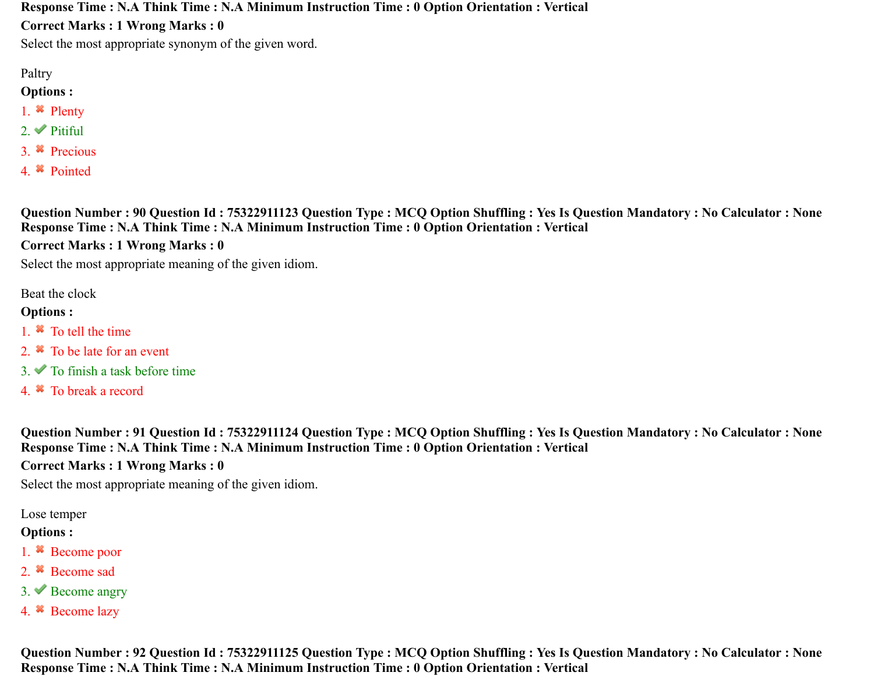**Response Time : N.A Think Time : N.A Minimum Instruction Time : 0 Option Orientation : Vertical**

**Correct Marks : 1 Wrong Marks : 0**

Select the most appropriate synonym of the given word.

Paltry

**Options :**

- 1. <sup>\*</sup> Plenty
- 2. Pitiful
- 3. Precious
- 4. Pointed

**Question Number : 90 Question Id : 75322911123 Question Type : MCQ Option Shuffling : Yes Is Question Mandatory : No Calculator : None Response Time : N.A Think Time : N.A Minimum Instruction Time : 0 Option Orientation : Vertical**

**Correct Marks : 1 Wrong Marks : 0**

Select the most appropriate meaning of the given idiom.

Beat the clock

#### **Options :**

- 1. <sup>\*</sup> To tell the time
- 2. <sup>\*</sup> To be late for an event
- $3.$  To finish a task before time
- 4. To break a record

**Question Number : 91 Question Id : 75322911124 Question Type : MCQ Option Shuffling : Yes Is Question Mandatory : No Calculator : None Response Time : N.A Think Time : N.A Minimum Instruction Time : 0 Option Orientation : Vertical**

**Correct Marks : 1 Wrong Marks : 0**

Select the most appropriate meaning of the given idiom.

Lose temper

#### **Options :**

- 1. <sup>\*</sup> Become poor
- 2. <sup>\*</sup> Become sad
- $3.$  Become angry
- 4. Become lazy

**Question Number : 92 Question Id : 75322911125 Question Type : MCQ Option Shuffling : Yes Is Question Mandatory : No Calculator : None Response Time : N.A Think Time : N.A Minimum Instruction Time : 0 Option Orientation : Vertical**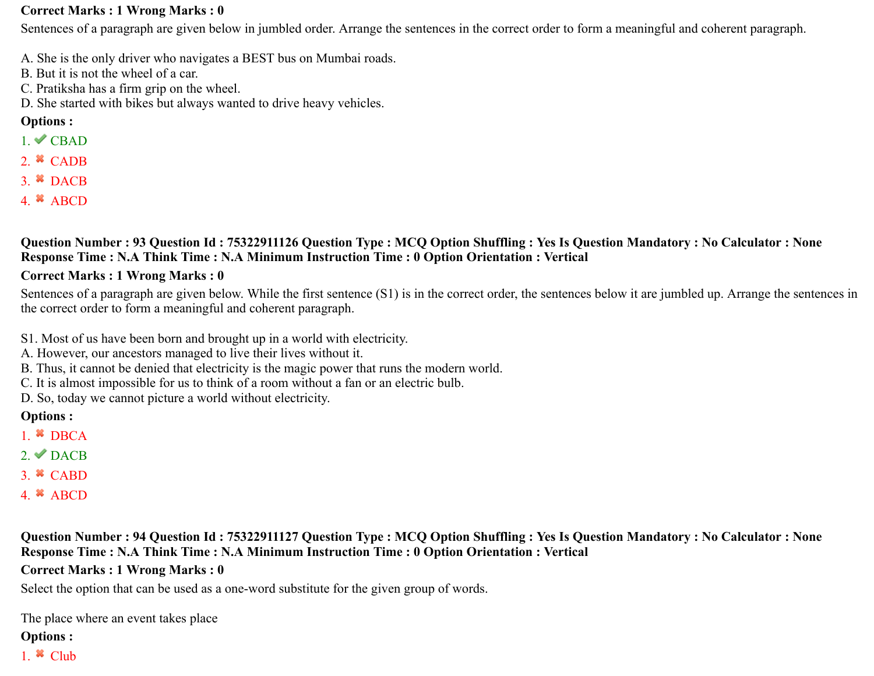#### **Correct Marks : 1 Wrong Marks : 0**

Sentences of a paragraph are given below in jumbled order. Arrange the sentences in the correct order to form a meaningful and coherent paragraph.

- A. She is the only driver who navigates a BEST bus on Mumbai roads.
- B. But it is not the wheel of a car.
- C. Pratiksha has a firm grip on the wheel.
- D. She started with bikes but always wanted to drive heavy vehicles.

#### **Options :**

- $1.$  CBAD
- 2.  $*$  CADB
- $3.$  W DACB
- 4.  $*$  ABCD

#### **Question Number : 93 Question Id : 75322911126 Question Type : MCQ Option Shuffling : Yes Is Question Mandatory : No Calculator : None Response Time : N.A Think Time : N.A Minimum Instruction Time : 0 Option Orientation : Vertical**

#### **Correct Marks : 1 Wrong Marks : 0**

Sentences of a paragraph are given below. While the first sentence (S1) is in the correct order, the sentences below it are jumbled up. Arrange the sentences in the correct order to form a meaningful and coherent paragraph.

- S1. Most of us have been born and brought up in a world with electricity.
- A. However, our ancestors managed to live their lives without it.
- B. Thus, it cannot be denied that electricity is the magic power that runs the modern world.
- C. It is almost impossible for us to think of a room without a fan or an electric bulb.
- D. So, today we cannot picture a world without electricity.

#### **Options :**

- 1.  $\bullet$  DBCA
- $2.$  DACB
- $3.$   $\bullet$  CABD
- 4.  $*$  ABCD

**Question Number : 94 Question Id : 75322911127 Question Type : MCQ Option Shuffling : Yes Is Question Mandatory : No Calculator : None Response Time : N.A Think Time : N.A Minimum Instruction Time : 0 Option Orientation : Vertical**

#### **Correct Marks : 1 Wrong Marks : 0**

Select the option that can be used as a one-word substitute for the given group of words.

The place where an event takes place

#### **Options :**

1.  $\ast$  Club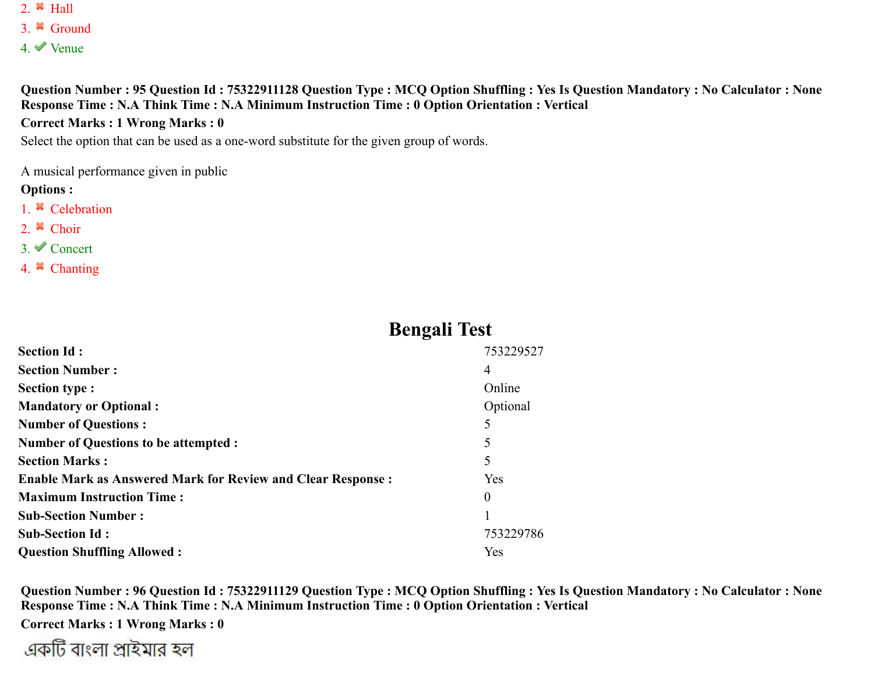- 2.  $*$  Hall
- 3. Ground
- 4. Venue

**Question Number : 95 Question Id : 75322911128 Question Type : MCQ Option Shuffling : Yes Is Question Mandatory : No Calculator : None Response Time : N.A Think Time : N.A Minimum Instruction Time : 0 Option Orientation : Vertical**

#### **Correct Marks : 1 Wrong Marks : 0**

Select the option that can be used as a one-word substitute for the given group of words.

A musical performance given in public

#### **Options :**

- 1. <sup>\*</sup> Celebration
- 2.  $\bullet$  Choir
- 3. Concert
- 4. Chanting

## **Bengali Test**

| <b>Section Id:</b>                                                 | 753229527 |
|--------------------------------------------------------------------|-----------|
| <b>Section Number:</b>                                             | 4         |
| <b>Section type:</b>                                               | Online    |
| <b>Mandatory or Optional:</b>                                      | Optional  |
| <b>Number of Questions:</b>                                        | 5         |
| <b>Number of Questions to be attempted :</b>                       | 5         |
| <b>Section Marks:</b>                                              | 5         |
| <b>Enable Mark as Answered Mark for Review and Clear Response:</b> | Yes       |
| <b>Maximum Instruction Time:</b>                                   | $\Omega$  |
| <b>Sub-Section Number:</b>                                         |           |
| <b>Sub-Section Id:</b>                                             | 753229786 |
| <b>Question Shuffling Allowed:</b>                                 | Yes       |

**Question Number : 96 Question Id : 75322911129 Question Type : MCQ Option Shuffling : Yes Is Question Mandatory : No Calculator : None Response Time : N.A Think Time : N.A Minimum Instruction Time : 0 Option Orientation : Vertical**

**Correct Marks : 1 Wrong Marks : 0**

একটি বাংলা প্রাইমার হল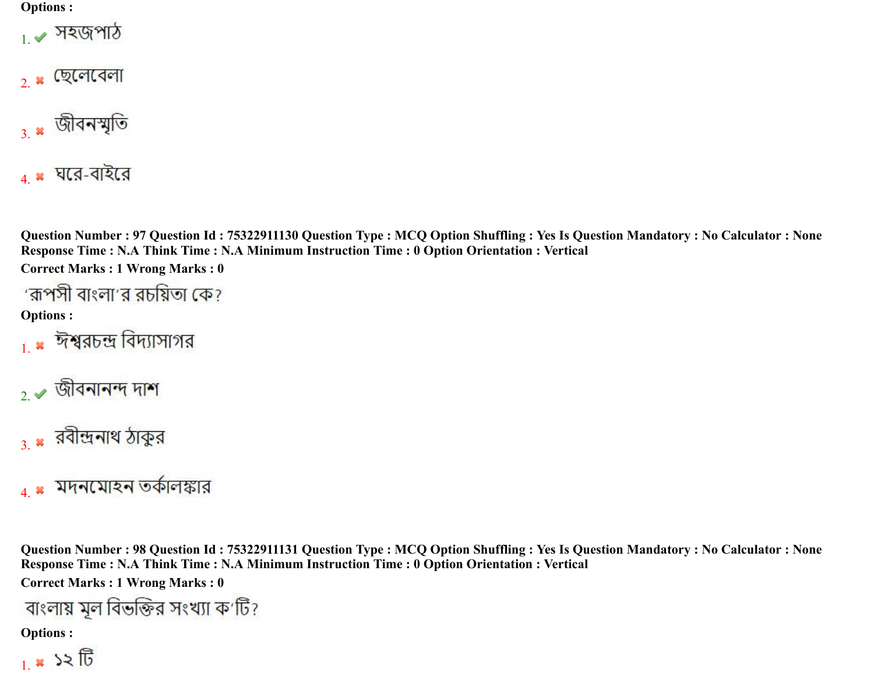#### **Options :**



- 2. \* ছেলেবেলা
- $_3$ . শ্লীবনস্মৃতি
- $4.$  \* ঘরে-বাইরে

**Question Number : 97 Question Id : 75322911130 Question Type : MCQ Option Shuffling : Yes Is Question Mandatory : No Calculator : None Response Time : N.A Think Time : N.A Minimum Instruction Time : 0 Option Orientation : Vertical**

**Correct Marks : 1 Wrong Marks : 0**

**Options :**

- 1 × ঈশ্বরচন্দ্র বিদ্যাসাগর
- $2.$  জীবনানন্দ দাশ
- $_3$  \* রবীন্দ্রনাথ ঠাকুর
- $_4$  × মদনমোহন তর্কালঙ্কার

**Question Number : 98 Question Id : 75322911131 Question Type : MCQ Option Shuffling : Yes Is Question Mandatory : No Calculator : None Response Time : N.A Think Time : N.A Minimum Instruction Time : 0 Option Orientation : Vertical Correct Marks : 1 Wrong Marks : 0**

বাংলায় মূল বিভক্তির সংখ্যা ক'টি?

$$
1. \times 32
$$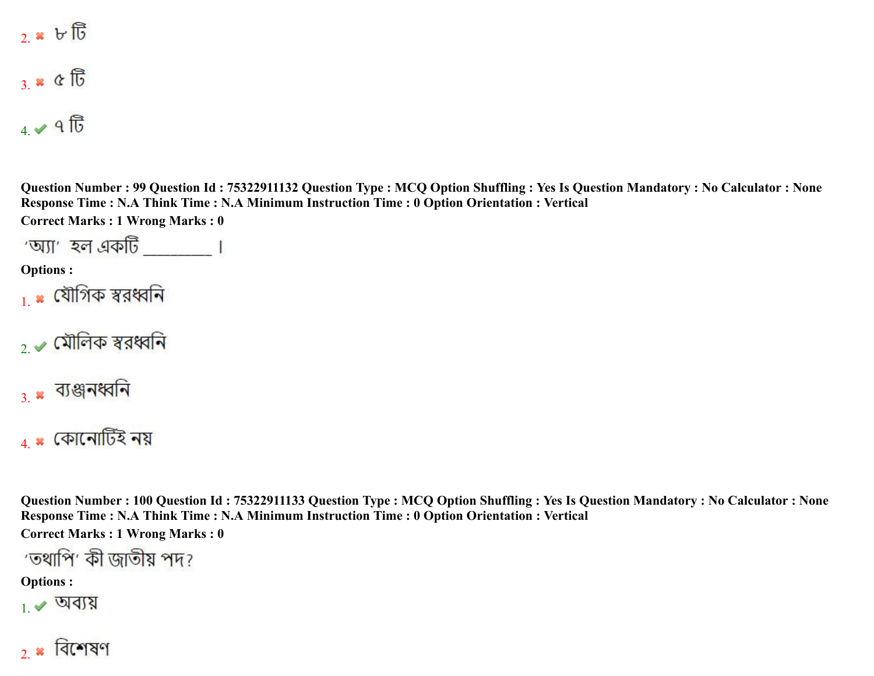2.  $\mathbf{B} \times \mathbf{E}$ 

 $3.80$ 

 $4.4$   $9$   $\overline{10}$ 

**Question Number : 99 Question Id : 75322911132 Question Type : MCQ Option Shuffling : Yes Is Question Mandatory : No Calculator : None Response Time : N.A Think Time : N.A Minimum Instruction Time : 0 Option Orientation : Vertical Correct Marks : 1 Wrong Marks : 0**

**Options :**

- <sub>।</sub> × যৌগিক স্বরধ্বনি
- $2.$  মৌলিক স্বরধ্বনি
- $_3$  \* ব্যঞ্জনধ্বনি

 $_4$  \* কোনোটিই নয়

**Question Number : 100 Question Id : 75322911133 Question Type : MCQ Option Shuffling : Yes Is Question Mandatory : No Calculator : None Response Time : N.A Think Time : N.A Minimum Instruction Time : 0 Option Orientation : Vertical**

**Correct Marks : 1 Wrong Marks : 0**

'তথাপি' কী জাতীয় পদ?

**Options :**

 $_1\blacktriangleright$  অব্যয়

 $2.8$  বিশেষণ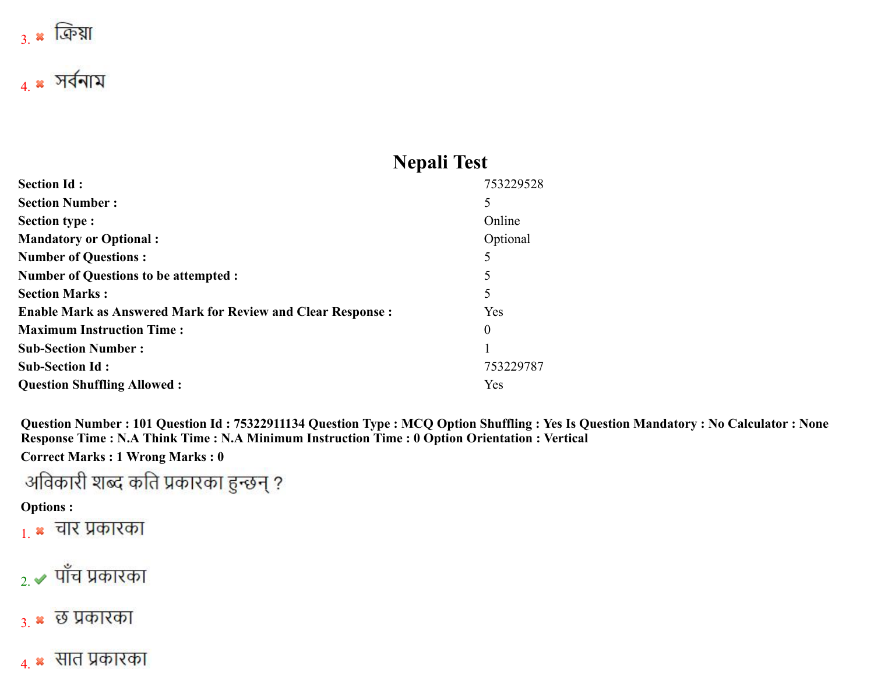

## **Nepali Test**

| <b>Section Id:</b>                                                 | 753229528 |
|--------------------------------------------------------------------|-----------|
| <b>Section Number:</b>                                             | 5         |
| <b>Section type:</b>                                               | Online    |
| <b>Mandatory or Optional:</b>                                      | Optional  |
| <b>Number of Questions:</b>                                        | 5         |
| <b>Number of Questions to be attempted :</b>                       | 5         |
| <b>Section Marks:</b>                                              | 5         |
| <b>Enable Mark as Answered Mark for Review and Clear Response:</b> | Yes       |
| <b>Maximum Instruction Time:</b>                                   | $\theta$  |
| <b>Sub-Section Number:</b>                                         |           |
| <b>Sub-Section Id:</b>                                             | 753229787 |
| <b>Question Shuffling Allowed:</b>                                 | Yes       |

**Question Number : 101 Question Id : 75322911134 Question Type : MCQ Option Shuffling : Yes Is Question Mandatory : No Calculator : None Response Time : N.A Think Time : N.A Minimum Instruction Time : 0 Option Orientation : Vertical**

**Correct Marks : 1 Wrong Marks : 0**

अविकारी शब्द कति प्रकारका हुन्छन् ?

#### **Options :**

 $_{1.}$   $\ast$  चार प्रकारका

# $_{2.}$  $\blacktriangleright$  पाँच प्रकारका

- 3. **\*** छ प्रकारका
- 4. सात प्रकारका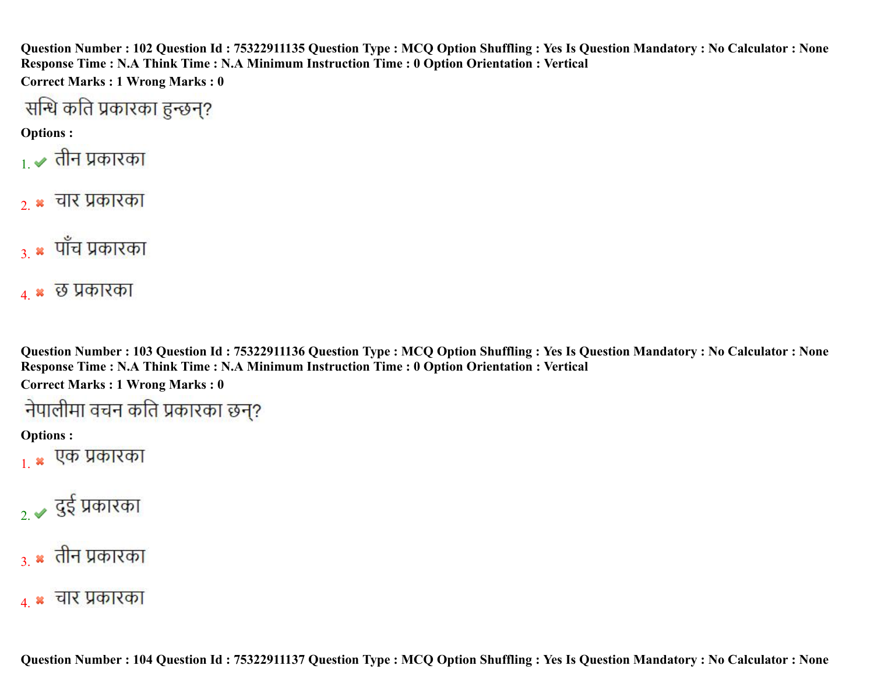**Question Number : 102 Question Id : 75322911135 Question Type : MCQ Option Shuffling : Yes Is Question Mandatory : No Calculator : None Response Time : N.A Think Time : N.A Minimum Instruction Time : 0 Option Orientation : Vertical**

**Correct Marks : 1 Wrong Marks : 0**

**Options :**

- 1. ✔ तीन प्रकारका
- $2.$   $\ast$  चार प्रकारका
- $_3$   $\ast$  पाँच प्रकारका
- 4. **\*** छ प्रकारका

**Question Number : 103 Question Id : 75322911136 Question Type : MCQ Option Shuffling : Yes Is Question Mandatory : No Calculator : None Response Time : N.A Think Time : N.A Minimum Instruction Time : 0 Option Orientation : Vertical**

**Correct Marks : 1 Wrong Marks : 0**

**Options :**

 $_{1.}$  \* एक प्रकारका

 $_{2}$   $\sim$  दुई प्रकारका

## $_3$   $\ast$  तीन प्रकारका

4. **\*** चार प्रकारका

**Question Number : 104 Question Id : 75322911137 Question Type : MCQ Option Shuffling : Yes Is Question Mandatory : No Calculator : None**